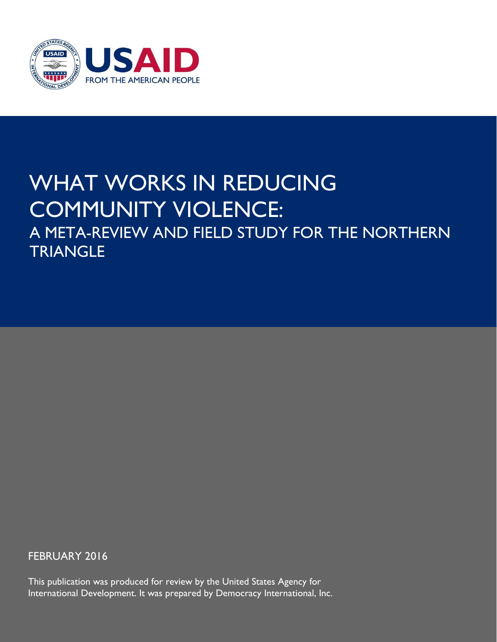

## WHAT WORKS IN REDUCING COMMUNITY VIOLENCE: A META-REVIEW AND FIELD STUDY FOR THE NORTHERN TRIANGLE

**Prepared by:** FEBRUARY 2016

This publication was produced for review by the United States Agency for International Development. It was prepared by Democracy International, Inc.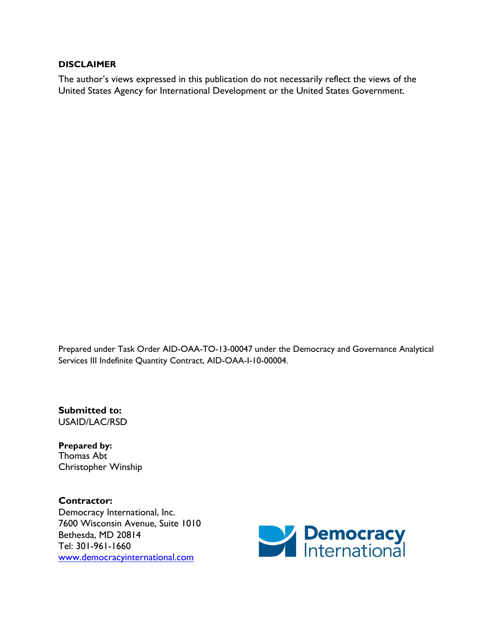#### **DISCLAIMER**

The author's views expressed in this publication do not necessarily reflect the views of the United States Agency for International Development or the United States Government.

Prepared under Task Order AID-OAA-TO-13-00047 under the Democracy and Governance Analytical Services III Indefinite Quantity Contract, AID-OAA-I-10-00004.

**Submitted to:** USAID/LAC/RSD

**Prepared by:** Thomas Abt Christopher Winship

**Contractor:** Democracy International, Inc. 7600 Wisconsin Avenue, Suite 1010 Bethesda, MD 20814 Tel: 301-961-1660 [www.democracyinternational.com](http://www.democracyinternational.com/)

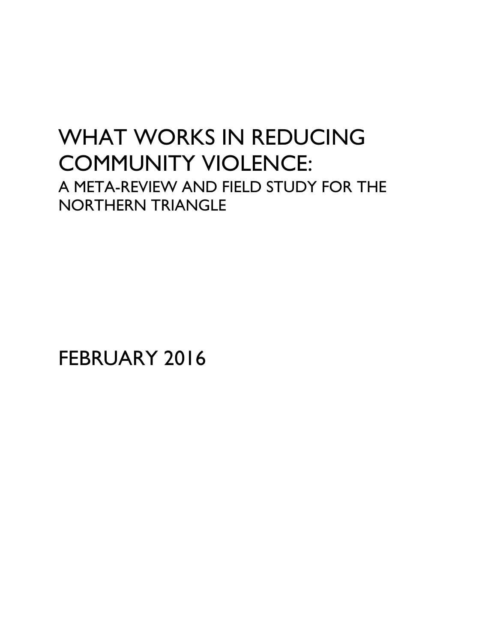## WHAT WORKS IN REDUCING COMMUNITY VIOLENCE: A META-REVIEW AND FIELD STUDY FOR THE NORTHERN TRIANGLE

FEBRUARY 2016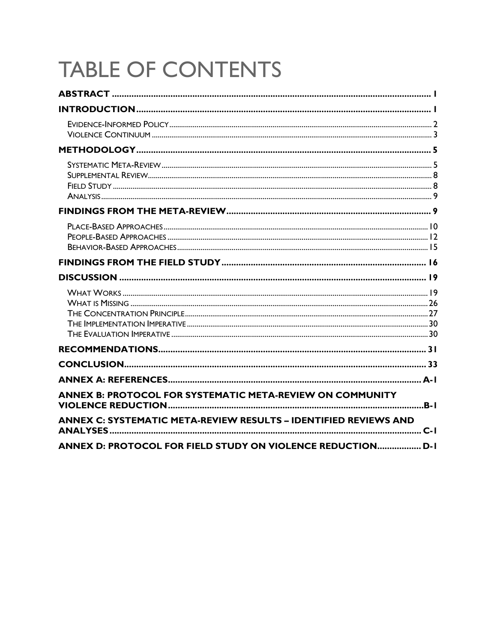# **TABLE OF CONTENTS**

| ANNEX B: PROTOCOL FOR SYSTEMATIC META-REVIEW ON COMMUNITY<br><b>ANNEX C: SYSTEMATIC META-REVIEW RESULTS - IDENTIFIED REVIEWS AND</b> |  |
|--------------------------------------------------------------------------------------------------------------------------------------|--|
| ANNEX D: PROTOCOL FOR FIELD STUDY ON VIOLENCE REDUCTION D-1                                                                          |  |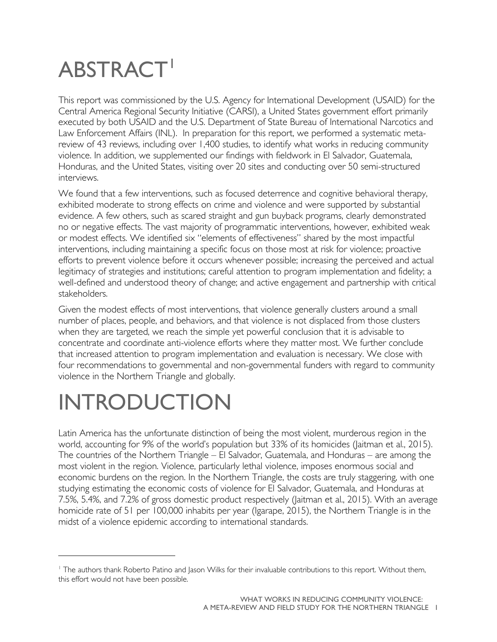# <span id="page-4-0"></span>**ABSTRACT**

This report was commissioned by the U.S. Agency for International Development (USAID) for the Central America Regional Security Initiative (CARSI), a United States government effort primarily executed by both USAID and the U.S. Department of State Bureau of International Narcotics and Law Enforcement Affairs (INL). In preparation for this report, we performed a systematic metareview of 43 reviews, including over 1,400 studies, to identify what works in reducing community violence. In addition, we supplemented our findings with fieldwork in El Salvador, Guatemala, Honduras, and the United States, visiting over 20 sites and conducting over 50 semi-structured interviews.

We found that a few interventions, such as focused deterrence and cognitive behavioral therapy, exhibited moderate to strong effects on crime and violence and were supported by substantial evidence. A few others, such as scared straight and gun buyback programs, clearly demonstrated no or negative effects. The vast majority of programmatic interventions, however, exhibited weak or modest effects. We identified six "elements of effectiveness" shared by the most impactful interventions, including maintaining a specific focus on those most at risk for violence; proactive efforts to prevent violence before it occurs whenever possible; increasing the perceived and actual legitimacy of strategies and institutions; careful attention to program implementation and fidelity; a well-defined and understood theory of change; and active engagement and partnership with critical stakeholders.

Given the modest effects of most interventions, that violence generally clusters around a small number of places, people, and behaviors, and that violence is not displaced from those clusters when they are targeted, we reach the simple yet powerful conclusion that it is advisable to concentrate and coordinate anti-violence efforts where they matter most. We further conclude that increased attention to program implementation and evaluation is necessary. We close with four recommendations to governmental and non-governmental funders with regard to community violence in the Northern Triangle and globally.

# <span id="page-4-1"></span>INTRODUCTION

 $\overline{a}$ 

Latin America has the unfortunate distinction of being the most violent, murderous region in the world, accounting for 9% of the world's population but 33% of its homicides (Jaitman et al., 2015). The countries of the Northern Triangle – El Salvador, Guatemala, and Honduras – are among the most violent in the region. Violence, particularly lethal violence, imposes enormous social and economic burdens on the region. In the Northern Triangle, the costs are truly staggering, with one studying estimating the economic costs of violence for El Salvador, Guatemala, and Honduras at 7.5%, 5.4%, and 7.2% of gross domestic product respectively (Jaitman et al., 2015). With an average homicide rate of 51 per 100,000 inhabits per year (Igarape, 2015), the Northern Triangle is in the midst of a violence epidemic according to international standards.

<span id="page-4-2"></span><sup>1</sup> The authors thank Roberto Patino and Jason Wilks for their invaluable contributions to this report. Without them, this effort would not have been possible.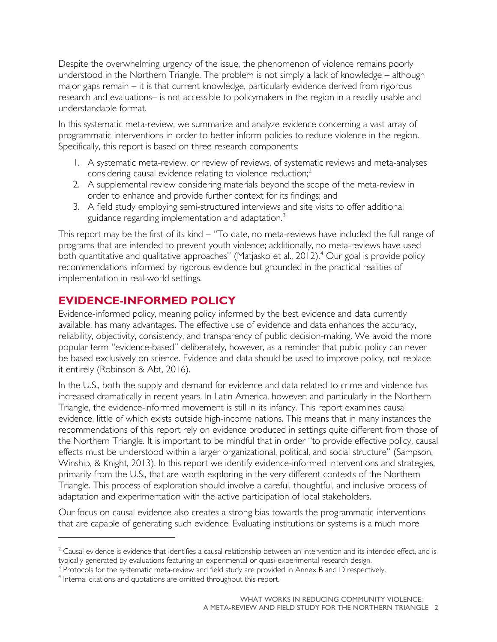Despite the overwhelming urgency of the issue, the phenomenon of violence remains poorly understood in the Northern Triangle. The problem is not simply a lack of knowledge – although major gaps remain – it is that current knowledge, particularly evidence derived from rigorous research and evaluations– is not accessible to policymakers in the region in a readily usable and understandable format.

In this systematic meta-review, we summarize and analyze evidence concerning a vast array of programmatic interventions in order to better inform policies to reduce violence in the region. Specifically, this report is based on three research components:

- 1. A systematic meta-review, or review of reviews, of systematic reviews and meta-analyses considering causal evidence relating to violence reduction;<sup>[2](#page-5-1)</sup>
- 2. A supplemental review considering materials beyond the scope of the meta-review in order to enhance and provide further context for its findings; and
- 3. A field study employing semi-structured interviews and site visits to offer additional guidance regarding implementation and adaptation.<sup>[3](#page-5-2)</sup>

This report may be the first of its kind – "To date, no meta-reviews have included the full range of programs that are intended to prevent youth violence; additionally, no meta-reviews have used both quantitative and qualitative approaches" (Matjasko et al., 2012).<sup>[4](#page-5-3)</sup> Our goal is provide policy recommendations informed by rigorous evidence but grounded in the practical realities of implementation in real-world settings.

## <span id="page-5-0"></span>**EVIDENCE-INFORMED POLICY**

Evidence-informed policy, meaning policy informed by the best evidence and data currently available, has many advantages. The effective use of evidence and data enhances the accuracy, reliability, objectivity, consistency, and transparency of public decision-making. We avoid the more popular term "evidence-based" deliberately, however, as a reminder that public policy can never be based exclusively on science. Evidence and data should be used to improve policy, not replace it entirely (Robinson & Abt, 2016).

In the U.S., both the supply and demand for evidence and data related to crime and violence has increased dramatically in recent years. In Latin America, however, and particularly in the Northern Triangle, the evidence-informed movement is still in its infancy. This report examines causal evidence, little of which exists outside high-income nations. This means that in many instances the recommendations of this report rely on evidence produced in settings quite different from those of the Northern Triangle. It is important to be mindful that in order "to provide effective policy, causal effects must be understood within a larger organizational, political, and social structure" (Sampson, Winship, & Knight, 2013). In this report we identify evidence-informed interventions and strategies, primarily from the U.S., that are worth exploring in the very different contexts of the Northern Triangle. This process of exploration should involve a careful, thoughtful, and inclusive process of adaptation and experimentation with the active participation of local stakeholders.

Our focus on causal evidence also creates a strong bias towards the programmatic interventions that are capable of generating such evidence. Evaluating institutions or systems is a much more

 $\overline{a}$ 

<span id="page-5-1"></span> $2$  Causal evidence is evidence that identifies a causal relationship between an intervention and its intended effect, and is typically generated by evaluations featuring an experimental or quasi-experimental research design.

<span id="page-5-2"></span><sup>&</sup>lt;sup>3</sup> Protocols for the systematic meta-review and field study are provided in Annex B and D respectively.

<span id="page-5-3"></span><sup>&</sup>lt;sup>4</sup> Internal citations and quotations are omitted throughout this report.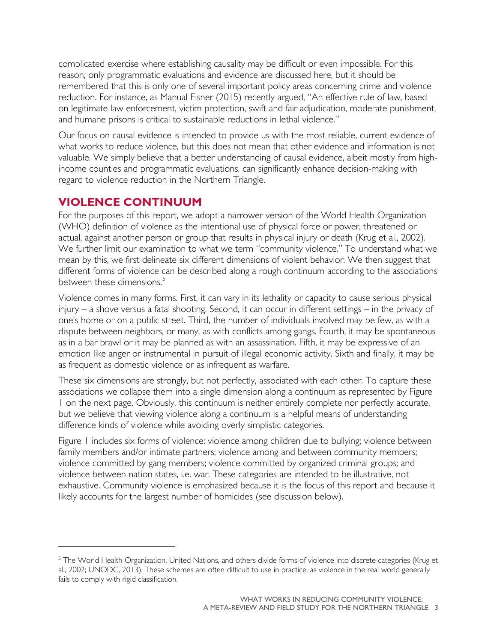complicated exercise where establishing causality may be difficult or even impossible. For this reason, only programmatic evaluations and evidence are discussed here, but it should be remembered that this is only one of several important policy areas concerning crime and violence reduction. For instance, as Manual Eisner (2015) recently argued, "An effective rule of law, based on legitimate law enforcement, victim protection, swift and fair adjudication, moderate punishment, and humane prisons is critical to sustainable reductions in lethal violence."

Our focus on causal evidence is intended to provide us with the most reliable, current evidence of what works to reduce violence, but this does not mean that other evidence and information is not valuable. We simply believe that a better understanding of causal evidence, albeit mostly from highincome counties and programmatic evaluations, can significantly enhance decision-making with regard to violence reduction in the Northern Triangle.

#### <span id="page-6-0"></span>**VIOLENCE CONTINUUM**

 $\overline{a}$ 

For the purposes of this report, we adopt a narrower version of the World Health Organization (WHO) definition of violence as the intentional use of physical force or power, threatened or actual, against another person or group that results in physical injury or death (Krug et al., 2002). We further limit our examination to what we term "community violence." To understand what we mean by this, we first delineate six different dimensions of violent behavior. We then suggest that different forms of violence can be described along a rough continuum according to the associations between these dimensions.<sup>[5](#page-6-1)</sup>

Violence comes in many forms. First, it can vary in its lethality or capacity to cause serious physical injury – a shove versus a fatal shooting. Second, it can occur in different settings – in the privacy of one's home or on a public street. Third, the number of individuals involved may be few, as with a dispute between neighbors, or many, as with conflicts among gangs. Fourth, it may be spontaneous as in a bar brawl or it may be planned as with an assassination. Fifth, it may be expressive of an emotion like anger or instrumental in pursuit of illegal economic activity. Sixth and finally, it may be as frequent as domestic violence or as infrequent as warfare.

These six dimensions are strongly, but not perfectly, associated with each other. To capture these associations we collapse them into a single dimension along a continuum as represented by Figure 1 on the next page. Obviously, this continuum is neither entirely complete nor perfectly accurate, but we believe that viewing violence along a continuum is a helpful means of understanding difference kinds of violence while avoiding overly simplistic categories.

Figure 1 includes six forms of violence: violence among children due to bullying; violence between family members and/or intimate partners; violence among and between community members; violence committed by gang members; violence committed by organized criminal groups; and violence between nation states, i.e. war. These categories are intended to be illustrative, not exhaustive. Community violence is emphasized because it is the focus of this report and because it likely accounts for the largest number of homicides (see discussion below).

<span id="page-6-1"></span><sup>&</sup>lt;sup>5</sup> The World Health Organization, United Nations, and others divide forms of violence into discrete categories (Krug et al., 2002; UNODC, 2013). These schemes are often difficult to use in practice, as violence in the real world generally fails to comply with rigid classification.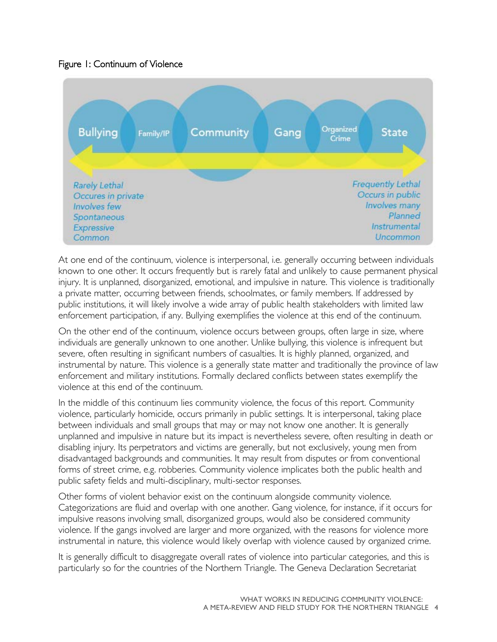#### Figure 1: Continuum of Violence



At one end of the continuum, violence is interpersonal, i.e. generally occurring between individuals known to one other. It occurs frequently but is rarely fatal and unlikely to cause permanent physical injury. It is unplanned, disorganized, emotional, and impulsive in nature. This violence is traditionally a private matter, occurring between friends, schoolmates, or family members. If addressed by public institutions, it will likely involve a wide array of public health stakeholders with limited law enforcement participation, if any. Bullying exemplifies the violence at this end of the continuum.

On the other end of the continuum, violence occurs between groups, often large in size, where individuals are generally unknown to one another. Unlike bullying, this violence is infrequent but severe, often resulting in significant numbers of casualties. It is highly planned, organized, and instrumental by nature. This violence is a generally state matter and traditionally the province of law enforcement and military institutions. Formally declared conflicts between states exemplify the violence at this end of the continuum.

In the middle of this continuum lies community violence, the focus of this report. Community violence, particularly homicide, occurs primarily in public settings. It is interpersonal, taking place between individuals and small groups that may or may not know one another. It is generally unplanned and impulsive in nature but its impact is nevertheless severe, often resulting in death or disabling injury. Its perpetrators and victims are generally, but not exclusively, young men from disadvantaged backgrounds and communities. It may result from disputes or from conventional forms of street crime, e.g. robberies. Community violence implicates both the public health and public safety fields and multi-disciplinary, multi-sector responses.

Other forms of violent behavior exist on the continuum alongside community violence. Categorizations are fluid and overlap with one another. Gang violence, for instance, if it occurs for impulsive reasons involving small, disorganized groups, would also be considered community violence. If the gangs involved are larger and more organized, with the reasons for violence more instrumental in nature, this violence would likely overlap with violence caused by organized crime.

It is generally difficult to disaggregate overall rates of violence into particular categories, and this is particularly so for the countries of the Northern Triangle. The Geneva Declaration Secretariat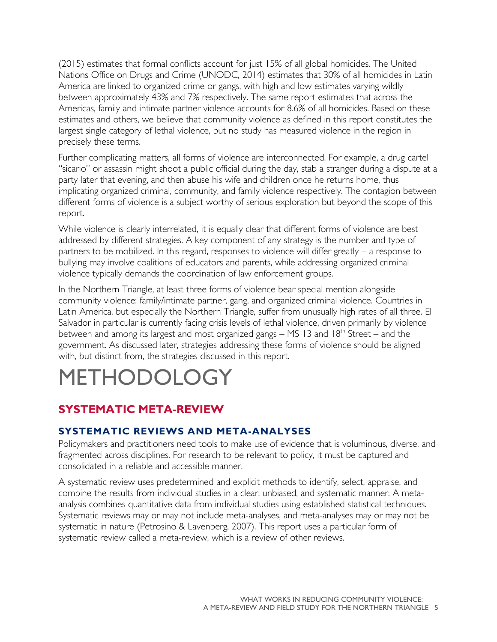(2015) estimates that formal conflicts account for just 15% of all global homicides. The United Nations Office on Drugs and Crime (UNODC, 2014) estimates that 30% of all homicides in Latin America are linked to organized crime or gangs, with high and low estimates varying wildly between approximately 43% and 7% respectively. The same report estimates that across the Americas, family and intimate partner violence accounts for 8.6% of all homicides. Based on these estimates and others, we believe that community violence as defined in this report constitutes the largest single category of lethal violence, but no study has measured violence in the region in precisely these terms.

Further complicating matters, all forms of violence are interconnected. For example, a drug cartel "sicario" or assassin might shoot a public official during the day, stab a stranger during a dispute at a party later that evening, and then abuse his wife and children once he returns home, thus implicating organized criminal, community, and family violence respectively. The contagion between different forms of violence is a subject worthy of serious exploration but beyond the scope of this report.

While violence is clearly interrelated, it is equally clear that different forms of violence are best addressed by different strategies. A key component of any strategy is the number and type of partners to be mobilized. In this regard, responses to violence will differ greatly – a response to bullying may involve coalitions of educators and parents, while addressing organized criminal violence typically demands the coordination of law enforcement groups.

In the Northern Triangle, at least three forms of violence bear special mention alongside community violence: family/intimate partner, gang, and organized criminal violence. Countries in Latin America, but especially the Northern Triangle, suffer from unusually high rates of all three. El Salvador in particular is currently facing crisis levels of lethal violence, driven primarily by violence between and among its largest and most organized gangs  $-$  MS 13 and 18<sup>th</sup> Street – and the government. As discussed later, strategies addressing these forms of violence should be aligned with, but distinct from, the strategies discussed in this report.

## <span id="page-8-0"></span>METHODOLOG

## <span id="page-8-1"></span>**SYSTEMATIC META-REVIEW**

### **SYSTEMATIC REVIEWS AND META-ANALYSES**

Policymakers and practitioners need tools to make use of evidence that is voluminous, diverse, and fragmented across disciplines. For research to be relevant to policy, it must be captured and consolidated in a reliable and accessible manner.

A systematic review uses predetermined and explicit methods to identify, select, appraise, and combine the results from individual studies in a clear, unbiased, and systematic manner. A metaanalysis combines quantitative data from individual studies using established statistical techniques. Systematic reviews may or may not include meta-analyses, and meta-analyses may or may not be systematic in nature (Petrosino & Lavenberg, 2007). This report uses a particular form of systematic review called a meta-review, which is a review of other reviews.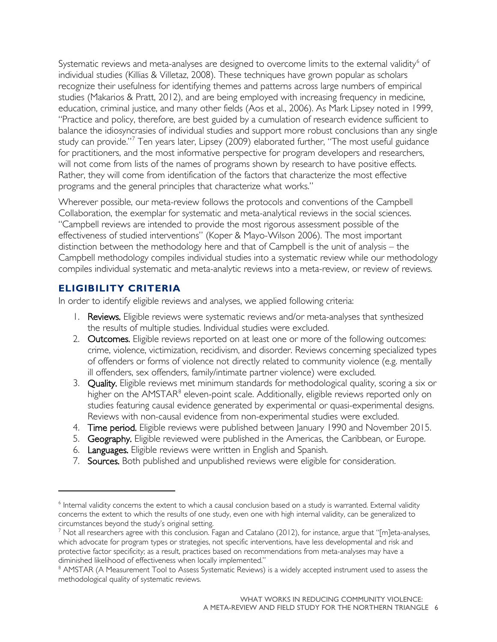Systematic reviews and meta-analyses are designed to overcome limits to the external validity<sup>[6](#page-9-0)</sup> of individual studies (Killias & Villetaz, 2008). These techniques have grown popular as scholars recognize their usefulness for identifying themes and patterns across large numbers of empirical studies (Makarios & Pratt, 2012), and are being employed with increasing frequency in medicine, education, criminal justice, and many other fields (Aos et al., 2006). As Mark Lipsey noted in 1999, "Practice and policy, therefore, are best guided by a cumulation of research evidence sufficient to balance the idiosyncrasies of individual studies and support more robust conclusions than any single study can provide."<sup>[7](#page-9-1)</sup> Ten years later, Lipsey (2009) elaborated further, "The most useful guidance for practitioners, and the most informative perspective for program developers and researchers, will not come from lists of the names of programs shown by research to have positive effects. Rather, they will come from identification of the factors that characterize the most effective programs and the general principles that characterize what works."

Wherever possible, our meta-review follows the protocols and conventions of the Campbell Collaboration, the exemplar for systematic and meta-analytical reviews in the social sciences. "Campbell reviews are intended to provide the most rigorous assessment possible of the effectiveness of studied interventions" (Koper & Mayo-Wilson 2006). The most important distinction between the methodology here and that of Campbell is the unit of analysis – the Campbell methodology compiles individual studies into a systematic review while our methodology compiles individual systematic and meta-analytic reviews into a meta-review, or review of reviews.

#### **ELIGIBILITY CRITERIA**

 $\overline{a}$ 

In order to identify eligible reviews and analyses, we applied following criteria:

- 1. Reviews. Eligible reviews were systematic reviews and/or meta-analyses that synthesized the results of multiple studies. Individual studies were excluded.
- 2. Outcomes. Eligible reviews reported on at least one or more of the following outcomes: crime, violence, victimization, recidivism, and disorder. Reviews concerning specialized types of offenders or forms of violence not directly related to community violence (e.g. mentally ill offenders, sex offenders, family/intimate partner violence) were excluded.
- 3. Quality. Eligible reviews met minimum standards for methodological quality, scoring a six or higher on the AMSTAR<sup>[8](#page-9-2)</sup> eleven-point scale. Additionally, eligible reviews reported only on studies featuring causal evidence generated by experimental or quasi-experimental designs. Reviews with non-causal evidence from non-experimental studies were excluded.
- 4. Time period. Eligible reviews were published between January 1990 and November 2015.
- 5. Geography. Eligible reviewed were published in the Americas, the Caribbean, or Europe.
- 6. Languages. Eligible reviews were written in English and Spanish.
- 7. Sources. Both published and unpublished reviews were eligible for consideration.

<span id="page-9-0"></span><sup>6</sup> Internal validity concerns the extent to which a causal conclusion based on a study is warranted. External validity concerns the extent to which the results of one study, even one with high internal validity, can be generalized to circumstances beyond the study's original setting.

<span id="page-9-1"></span> $^7$  Not all researchers agree with this conclusion. Fagan and Catalano (2012), for instance, argue that "[m]eta-analyses, which advocate for program types or strategies, not specific interventions, have less developmental and risk and protective factor specificity; as a result, practices based on recommendations from meta-analyses may have a diminished likelihood of effectiveness when locally implemented."

<span id="page-9-2"></span><sup>&</sup>lt;sup>8</sup> AMSTAR (A Measurement Tool to Assess Systematic Reviews) is a widely accepted instrument used to assess the methodological quality of systematic reviews.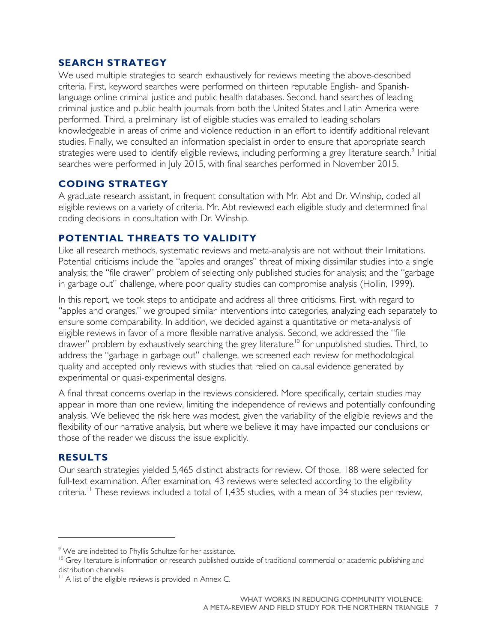#### **SEARCH STRATEGY**

We used multiple strategies to search exhaustively for reviews meeting the above-described criteria. First, keyword searches were performed on thirteen reputable English- and Spanishlanguage online criminal justice and public health databases. Second, hand searches of leading criminal justice and public health journals from both the United States and Latin America were performed. Third, a preliminary list of eligible studies was emailed to leading scholars knowledgeable in areas of crime and violence reduction in an effort to identify additional relevant studies. Finally, we consulted an information specialist in order to ensure that appropriate search strategies were used to identify eligible reviews, including performing a grey literature search.<sup>[9](#page-10-0)</sup> Initial searches were performed in July 2015, with final searches performed in November 2015.

#### **CODING STRATEGY**

A graduate research assistant, in frequent consultation with Mr. Abt and Dr. Winship, coded all eligible reviews on a variety of criteria. Mr. Abt reviewed each eligible study and determined final coding decisions in consultation with Dr. Winship.

#### **POTENTIAL THREATS TO VALIDITY**

Like all research methods, systematic reviews and meta-analysis are not without their limitations. Potential criticisms include the "apples and oranges" threat of mixing dissimilar studies into a single analysis; the "file drawer" problem of selecting only published studies for analysis; and the "garbage in garbage out" challenge, where poor quality studies can compromise analysis (Hollin, 1999).

In this report, we took steps to anticipate and address all three criticisms. First, with regard to "apples and oranges," we grouped similar interventions into categories, analyzing each separately to ensure some comparability. In addition, we decided against a quantitative or meta-analysis of eligible reviews in favor of a more flexible narrative analysis. Second, we addressed the "file drawer" problem by exhaustively searching the grey literature<sup>[10](#page-10-1)</sup> for unpublished studies. Third, to address the "garbage in garbage out" challenge, we screened each review for methodological quality and accepted only reviews with studies that relied on causal evidence generated by experimental or quasi-experimental designs.

A final threat concerns overlap in the reviews considered. More specifically, certain studies may appear in more than one review, limiting the independence of reviews and potentially confounding analysis. We believed the risk here was modest, given the variability of the eligible reviews and the flexibility of our narrative analysis, but where we believe it may have impacted our conclusions or those of the reader we discuss the issue explicitly.

#### **RESULTS**

 $\overline{a}$ 

Our search strategies yielded 5,465 distinct abstracts for review. Of those, 188 were selected for full-text examination. After examination, 43 reviews were selected according to the eligibility criteria.<sup>[11](#page-10-2)</sup> These reviews included a total of 1,435 studies, with a mean of 34 studies per review,

<span id="page-10-0"></span><sup>&</sup>lt;sup>9</sup> We are indebted to Phyllis Schultze for her assistance.

<span id="page-10-1"></span><sup>&</sup>lt;sup>10</sup> Grey literature is information or research published outside of traditional commercial or academic publishing and distribution channels.

<span id="page-10-2"></span><sup>&</sup>lt;sup>11</sup> A list of the eligible reviews is provided in Annex C.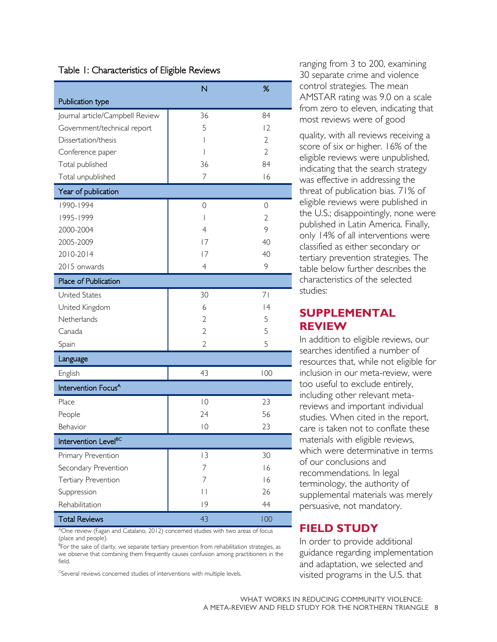#### Table 1: Characteristics of Eligible Reviews

|                                  | N                        | %              |
|----------------------------------|--------------------------|----------------|
| Publication type                 |                          |                |
| Journal article/Campbell Review  | 36                       | 84             |
| Government/technical report      | 5                        | 12             |
| Dissertation/thesis              | I                        | $\overline{2}$ |
| Conference paper                 | I                        | $\overline{2}$ |
| Total published                  | 36                       | 84             |
| Total unpublished                | $\overline{7}$           | 16             |
| Year of publication              |                          |                |
| 1990-1994                        | 0                        | 0              |
| 1995-1999                        | $\overline{1}$           | $\overline{2}$ |
| 2000-2004                        | $\overline{4}$           | 9              |
| 2005-2009                        | 7                        | 40             |
| 2010-2014                        | 7                        | 40             |
| 2015 onwards                     | $\overline{4}$           | 9              |
| Place of Publication             |                          |                |
| <b>United States</b>             | 30                       | 71             |
| United Kingdom                   | 6                        | 4              |
| Netherlands                      | 2                        | 5              |
| Canada                           | $\overline{2}$           | 5              |
| Spain                            | $\overline{2}$           | 5              |
| Language                         |                          |                |
| English                          | 43                       | 100            |
| Intervention Focus <sup>A</sup>  |                          |                |
| Place                            | $ 0\rangle$              | 23             |
| People                           | 24                       | 56             |
| Behavior                         | $\overline{0}$           | 23             |
| Intervention Level <sup>BC</sup> |                          |                |
| Primary Prevention               | 3                        | 30             |
| Secondary Prevention             | 7                        | 16             |
| Tertiary Prevention              | 7                        | 16             |
| Suppression                      | $\overline{\phantom{a}}$ | 26             |
| Rehabilitation                   | 9                        | 44             |
| <b>Total Reviews</b>             | 43                       | 100            |

AOne review (Fagan and Catalano, 2012) concerned studies with two areas of focus (place and people).

<sup>B</sup>For the sake of clarity, we separate tertiary prevention from rehabilitation strategies, as we observe that combining them frequently causes confusion among practitioners in the field.

<sup>C</sup>Several reviews concerned studies of interventions with multiple levels.

ranging from 3 to 200, examining 30 separate crime and violence control strategies. The mean AMSTAR rating was 9.0 on a scale from zero to eleven, indicating that most reviews were of good

quality, with all reviews receiving a score of six or higher. 16% of the eligible reviews were unpublished, indicating that the search strategy was effective in addressing the threat of publication bias. 71% of eligible reviews were published in the U.S.; disappointingly, none were published in Latin America. Finally, only 14% of all interventions were classified as either secondary or tertiary prevention strategies. The table below further describes the characteristics of the selected studies:

#### <span id="page-11-0"></span>**SUPPLEMENTAL REVIEW**

In addition to eligible reviews, our searches identified a number of resources that, while not eligible for inclusion in our meta-review, were too useful to exclude entirely, including other relevant metareviews and important individual studies. When cited in the report, care is taken not to conflate these materials with eligible reviews, which were determinative in terms of our conclusions and recommendations. In legal terminology, the authority of supplemental materials was merely persuasive, not mandatory.

#### <span id="page-11-1"></span>**FIELD STUDY**

In order to provide additional guidance regarding implementation and adaptation, we selected and visited programs in the U.S. that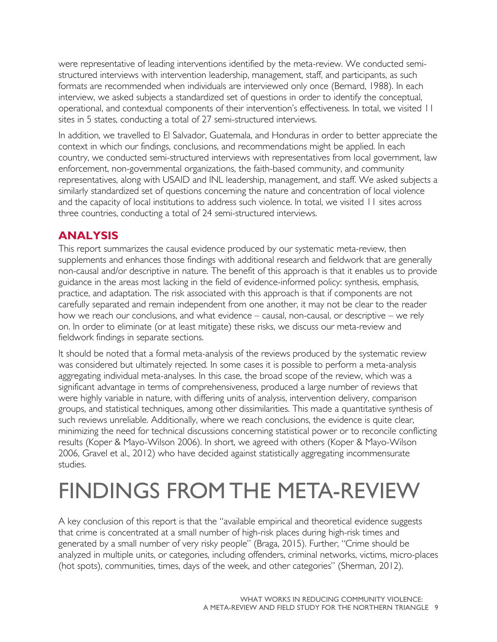were representative of leading interventions identified by the meta-review. We conducted semistructured interviews with intervention leadership, management, staff, and participants, as such formats are recommended when individuals are interviewed only once (Bernard, 1988). In each interview, we asked subjects a standardized set of questions in order to identify the conceptual, operational, and contextual components of their intervention's effectiveness. In total, we visited 11 sites in 5 states, conducting a total of 27 semi-structured interviews.

In addition, we travelled to El Salvador, Guatemala, and Honduras in order to better appreciate the context in which our findings, conclusions, and recommendations might be applied. In each country, we conducted semi-structured interviews with representatives from local government, law enforcement, non-governmental organizations, the faith-based community, and community representatives, along with USAID and INL leadership, management, and staff. We asked subjects a similarly standardized set of questions concerning the nature and concentration of local violence and the capacity of local institutions to address such violence. In total, we visited 11 sites across three countries, conducting a total of 24 semi-structured interviews.

## <span id="page-12-0"></span>**ANALYSIS**

This report summarizes the causal evidence produced by our systematic meta-review, then supplements and enhances those findings with additional research and fieldwork that are generally non-causal and/or descriptive in nature. The benefit of this approach is that it enables us to provide guidance in the areas most lacking in the field of evidence-informed policy: synthesis, emphasis, practice, and adaptation. The risk associated with this approach is that if components are not carefully separated and remain independent from one another, it may not be clear to the reader how we reach our conclusions, and what evidence – causal, non-causal, or descriptive – we rely on. In order to eliminate (or at least mitigate) these risks, we discuss our meta-review and fieldwork findings in separate sections.

It should be noted that a formal meta-analysis of the reviews produced by the systematic review was considered but ultimately rejected. In some cases it is possible to perform a meta-analysis aggregating individual meta-analyses. In this case, the broad scope of the review, which was a significant advantage in terms of comprehensiveness, produced a large number of reviews that were highly variable in nature, with differing units of analysis, intervention delivery, comparison groups, and statistical techniques, among other dissimilarities. This made a quantitative synthesis of such reviews unreliable. Additionally, where we reach conclusions, the evidence is quite clear, minimizing the need for technical discussions concerning statistical power or to reconcile conflicting results (Koper & Mayo-Wilson 2006). In short, we agreed with others (Koper & Mayo-Wilson 2006, Gravel et al., 2012) who have decided against statistically aggregating incommensurate studies.

# <span id="page-12-1"></span>FINDINGS FROM THE META-REVIEW

A key conclusion of this report is that the "available empirical and theoretical evidence suggests that crime is concentrated at a small number of high-risk places during high-risk times and generated by a small number of very risky people" (Braga, 2015). Further, "Crime should be analyzed in multiple units, or categories, including offenders, criminal networks, victims, micro-places (hot spots), communities, times, days of the week, and other categories" (Sherman, 2012).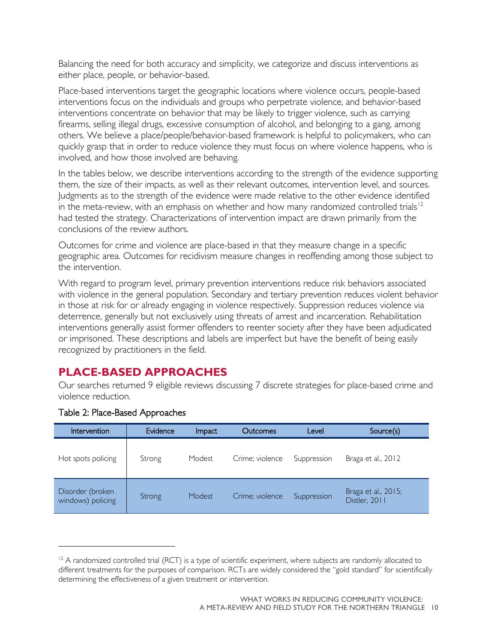Balancing the need for both accuracy and simplicity, we categorize and discuss interventions as either place, people, or behavior-based.

Place-based interventions target the geographic locations where violence occurs, people-based interventions focus on the individuals and groups who perpetrate violence, and behavior-based interventions concentrate on behavior that may be likely to trigger violence, such as carrying firearms, selling illegal drugs, excessive consumption of alcohol, and belonging to a gang, among others. We believe a place/people/behavior-based framework is helpful to policymakers, who can quickly grasp that in order to reduce violence they must focus on where violence happens, who is involved, and how those involved are behaving.

In the tables below, we describe interventions according to the strength of the evidence supporting them, the size of their impacts, as well as their relevant outcomes, intervention level, and sources. Judgments as to the strength of the evidence were made relative to the other evidence identified in the meta-review, with an emphasis on whether and how many randomized controlled trials<sup>[12](#page-13-1)</sup> had tested the strategy. Characterizations of intervention impact are drawn primarily from the conclusions of the review authors.

Outcomes for crime and violence are place-based in that they measure change in a specific geographic area. Outcomes for recidivism measure changes in reoffending among those subject to the intervention.

With regard to program level, primary prevention interventions reduce risk behaviors associated with violence in the general population. Secondary and tertiary prevention reduces violent behavior in those at risk for or already engaging in violence respectively. Suppression reduces violence via deterrence, generally but not exclusively using threats of arrest and incarceration. Rehabilitation interventions generally assist former offenders to reenter society after they have been adjudicated or imprisoned. These descriptions and labels are imperfect but have the benefit of being easily recognized by practitioners in the field.

#### <span id="page-13-0"></span>**PLACE-BASED APPROACHES**

Our searches returned 9 eligible reviews discussing 7 discrete strategies for place-based crime and violence reduction.

| Intervention                          | Evidence | Impact | Outcomes        | Level       | Source(s)                            |
|---------------------------------------|----------|--------|-----------------|-------------|--------------------------------------|
| Hot spots policing                    | Strong   | Modest | Crime; violence | Suppression | Braga et al., 2012                   |
| Disorder (broken<br>windows) policing | Strong   | Modest | Crime; violence | Suppression | Braga et al., 2015;<br>Distler, 2011 |

#### Table 2: Place-Based Approaches

 $\overline{a}$ 

<span id="page-13-1"></span> $12$  A randomized controlled trial (RCT) is a type of scientific experiment, where subjects are randomly allocated to different treatments for the purposes of comparison. RCTs are widely considered the "gold standard" for scientifically determining the effectiveness of a given treatment or intervention.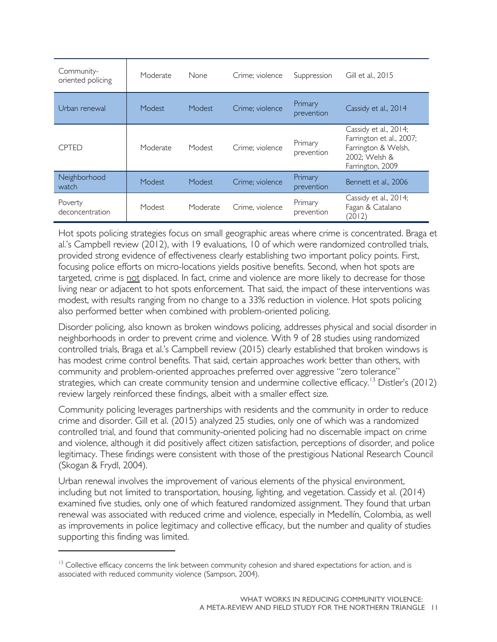| Community-<br>oriented policing | Moderate | None     | Crime: violence | Suppression           | Gill et al., 2015                                                                                             |
|---------------------------------|----------|----------|-----------------|-----------------------|---------------------------------------------------------------------------------------------------------------|
| Urban renewal                   | Modest   | Modest   | Crime; violence | Primary<br>prevention | Cassidy et al., 2014                                                                                          |
| <b>CPTED</b>                    | Moderate | Modest   | Crime; violence | Primary<br>prevention | Cassidy et al., 2014;<br>Farrington et al., 2007;<br>Farrington & Welsh,<br>2002; Welsh &<br>Farrington, 2009 |
| Neighborhood<br>watch           | Modest   | Modest   | Crime; violence | Primary<br>prevention | Bennett et al., 2006                                                                                          |
| Poverty<br>deconcentration      | Modest   | Moderate | Crime, violence | Primary<br>prevention | Cassidy et al., 2014;<br>Fagan & Catalano<br>(2012)                                                           |

Hot spots policing strategies focus on small geographic areas where crime is concentrated. Braga et al.'s Campbell review (2012), with 19 evaluations, 10 of which were randomized controlled trials, provided strong evidence of effectiveness clearly establishing two important policy points. First, focusing police efforts on micro-locations yields positive benefits. Second, when hot spots are targeted, crime is not displaced. In fact, crime and violence are more likely to decrease for those living near or adjacent to hot spots enforcement. That said, the impact of these interventions was modest, with results ranging from no change to a 33% reduction in violence. Hot spots policing also performed better when combined with problem-oriented policing.

Disorder policing, also known as broken windows policing, addresses physical and social disorder in neighborhoods in order to prevent crime and violence. With 9 of 28 studies using randomized controlled trials, Braga et al.'s Campbell review (2015) clearly established that broken windows is has modest crime control benefits. That said, certain approaches work better than others, with community and problem-oriented approaches preferred over aggressive "zero tolerance" strategies, which can create community tension and undermine collective efficacy.<sup>[13](#page-14-0)</sup> Distler's (2012) review largely reinforced these findings, albeit with a smaller effect size.

Community policing leverages partnerships with residents and the community in order to reduce crime and disorder. Gill et al. (2015) analyzed 25 studies, only one of which was a randomized controlled trial, and found that community-oriented policing had no discernable impact on crime and violence, although it did positively affect citizen satisfaction, perceptions of disorder, and police legitimacy. These findings were consistent with those of the prestigious National Research Council (Skogan & Frydl, 2004).

Urban renewal involves the improvement of various elements of the physical environment, including but not limited to transportation, housing, lighting, and vegetation. Cassidy et al. (2014) examined five studies, only one of which featured randomized assignment. They found that urban renewal was associated with reduced crime and violence, especially in Medellín, Colombia, as well as improvements in police legitimacy and collective efficacy, but the number and quality of studies supporting this finding was limited.

 $\overline{a}$ 

<span id="page-14-0"></span><sup>&</sup>lt;sup>13</sup> Collective efficacy concerns the link between community cohesion and shared expectations for action, and is associated with reduced community violence (Sampson, 2004).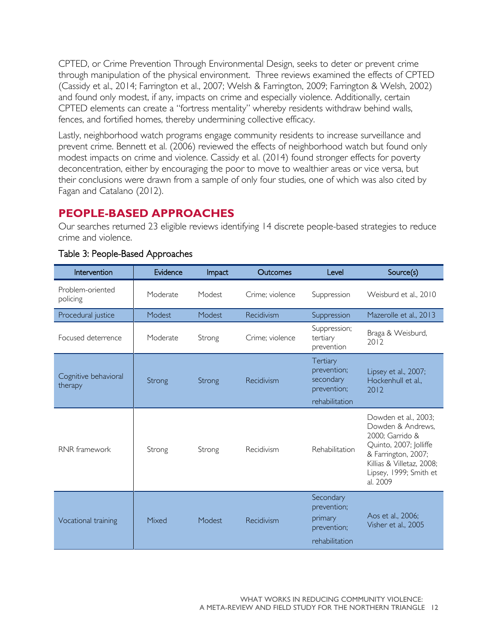CPTED, or Crime Prevention Through Environmental Design, seeks to deter or prevent crime through manipulation of the physical environment. Three reviews examined the effects of CPTED (Cassidy et al., 2014; Farrington et al., 2007; Welsh & Farrington, 2009; Farrington & Welsh, 2002) and found only modest, if any, impacts on crime and especially violence. Additionally, certain CPTED elements can create a "fortress mentality" whereby residents withdraw behind walls, fences, and fortified homes, thereby undermining collective efficacy.

Lastly, neighborhood watch programs engage community residents to increase surveillance and prevent crime. Bennett et al. (2006) reviewed the effects of neighborhood watch but found only modest impacts on crime and violence. Cassidy et al. (2014) found stronger effects for poverty deconcentration, either by encouraging the poor to move to wealthier areas or vice versa, but their conclusions were drawn from a sample of only four studies, one of which was also cited by Fagan and Catalano (2012).

### <span id="page-15-0"></span>**PEOPLE-BASED APPROACHES**

Our searches returned 23 eligible reviews identifying 14 discrete people-based strategies to reduce crime and violence.

| Intervention                    | Evidence | Impact | Outcomes        | Level                                                                 | Source(s)                                                                                                                                                                        |
|---------------------------------|----------|--------|-----------------|-----------------------------------------------------------------------|----------------------------------------------------------------------------------------------------------------------------------------------------------------------------------|
| Problem-oriented<br>policing    | Moderate | Modest | Crime; violence | Suppression                                                           | Weisburd et al., 2010                                                                                                                                                            |
| Procedural justice              | Modest   | Modest | Recidivism      | Suppression                                                           | Mazerolle et al., 2013                                                                                                                                                           |
| Focused deterrence              | Moderate | Strong | Crime; violence | Suppression;<br>tertiary<br>prevention                                | Braga & Weisburd,<br>2012                                                                                                                                                        |
| Cognitive behavioral<br>therapy | Strong   | Strong | Recidivism      | Tertiary<br>prevention;<br>secondary<br>prevention;<br>rehabilitation | Lipsey et al., 2007;<br>Hockenhull et al.,<br>2012                                                                                                                               |
| RNR framework                   | Strong   | Strong | Recidivism      | Rehabilitation                                                        | Dowden et al., 2003;<br>Dowden & Andrews,<br>2000; Garrido &<br>Quinto, 2007; Jolliffe<br>& Farrington, 2007;<br>Killias & Villetaz, 2008;<br>Lipsey, 1999; Smith et<br>al. 2009 |
| Vocational training             | Mixed    | Modest | Recidivism      | Secondary<br>prevention;<br>primary<br>prevention;<br>rehabilitation  | Aos et al., 2006;<br>Visher et al., 2005                                                                                                                                         |

#### Table 3: People-Based Approaches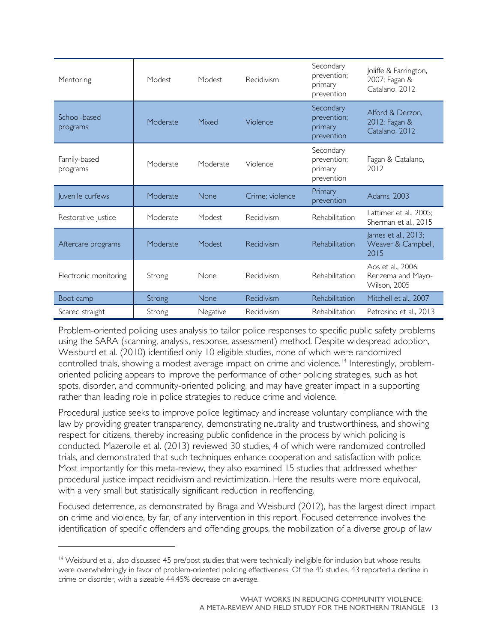| Mentoring                | Modest   | Modest   | Recidivism                                                    | Secondary<br>prevention;<br>primary<br>prevention | Joliffe & Farrington,<br>2007; Fagan &<br>Catalano, 2012 |
|--------------------------|----------|----------|---------------------------------------------------------------|---------------------------------------------------|----------------------------------------------------------|
| School-based<br>programs | Moderate | Mixed    | Secondary<br>prevention;<br>Violence<br>primary<br>prevention |                                                   | Alford & Derzon,<br>2012; Fagan &<br>Catalano, 2012      |
| Family-based<br>programs | Moderate | Moderate | Violence                                                      | Secondary<br>prevention;<br>primary<br>prevention | Fagan & Catalano,<br>2012                                |
| Juvenile curfews         | Moderate | None     | Crime; violence                                               | Primary<br>prevention                             | Adams, 2003                                              |
| Restorative justice      | Moderate | Modest   | Recidivism                                                    | Rehabilitation                                    | Lattimer et al., 2005;<br>Sherman et al., 2015           |
| Aftercare programs       | Moderate | Modest   | Recidivism                                                    | Rehabilitation                                    | James et al., 2013;<br>Weaver & Campbell,<br>2015        |
| Electronic monitoring    | Strong   | None     | Recidivism                                                    | Rehabilitation                                    | Aos et al., 2006;<br>Renzema and Mayo-<br>Wilson, 2005   |
| Boot camp                | Strong   | None     | Recidivism                                                    | <b>Rehabilitation</b>                             | Mitchell et al., 2007                                    |
| Scared straight          | Strong   | Negative | Recidivism                                                    | Rehabilitation                                    | Petrosino et al., 2013                                   |

Problem-oriented policing uses analysis to tailor police responses to specific public safety problems using the SARA (scanning, analysis, response, assessment) method. Despite widespread adoption, Weisburd et al. (2010) identified only 10 eligible studies, none of which were randomized controlled trials, showing a modest average impact on crime and violence.<sup>[14](#page-16-0)</sup> Interestingly, problemoriented policing appears to improve the performance of other policing strategies, such as hot spots, disorder, and community-oriented policing, and may have greater impact in a supporting rather than leading role in police strategies to reduce crime and violence.

Procedural justice seeks to improve police legitimacy and increase voluntary compliance with the law by providing greater transparency, demonstrating neutrality and trustworthiness, and showing respect for citizens, thereby increasing public confidence in the process by which policing is conducted. Mazerolle et al. (2013) reviewed 30 studies, 4 of which were randomized controlled trials, and demonstrated that such techniques enhance cooperation and satisfaction with police. Most importantly for this meta-review, they also examined 15 studies that addressed whether procedural justice impact recidivism and revictimization. Here the results were more equivocal, with a very small but statistically significant reduction in reoffending.

Focused deterrence, as demonstrated by Braga and Weisburd (2012), has the largest direct impact on crime and violence, by far, of any intervention in this report. Focused deterrence involves the identification of specific offenders and offending groups, the mobilization of a diverse group of law

 $\overline{a}$ 

<span id="page-16-0"></span> $14$  Weisburd et al. also discussed 45 pre/post studies that were technically ineligible for inclusion but whose results were overwhelmingly in favor of problem-oriented policing effectiveness. Of the 45 studies, 43 reported a decline in crime or disorder, with a sizeable 44.45% decrease on average.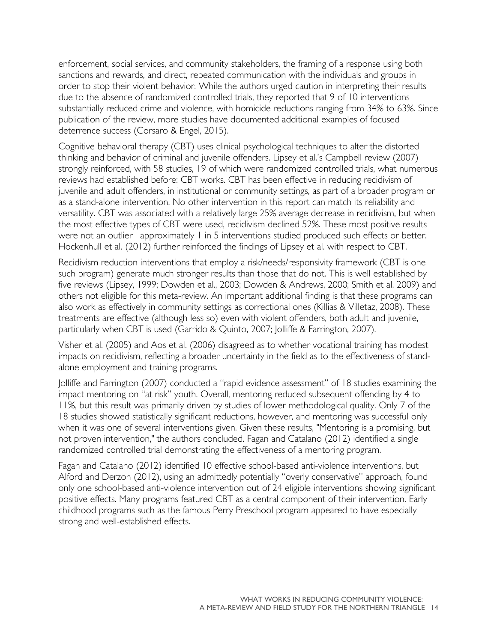enforcement, social services, and community stakeholders, the framing of a response using both sanctions and rewards, and direct, repeated communication with the individuals and groups in order to stop their violent behavior. While the authors urged caution in interpreting their results due to the absence of randomized controlled trials, they reported that 9 of 10 interventions substantially reduced crime and violence, with homicide reductions ranging from 34% to 63%. Since publication of the review, more studies have documented additional examples of focused deterrence success (Corsaro & Engel, 2015).

Cognitive behavioral therapy (CBT) uses clinical psychological techniques to alter the distorted thinking and behavior of criminal and juvenile offenders. Lipsey et al.'s Campbell review (2007) strongly reinforced, with 58 studies, 19 of which were randomized controlled trials, what numerous reviews had established before: CBT works. CBT has been effective in reducing recidivism of juvenile and adult offenders, in institutional or community settings, as part of a broader program or as a stand-alone intervention. No other intervention in this report can match its reliability and versatility. CBT was associated with a relatively large 25% average decrease in recidivism, but when the most effective types of CBT were used, recidivism declined 52%. These most positive results were not an outlier –approximately 1 in 5 interventions studied produced such effects or better. Hockenhull et al. (2012) further reinforced the findings of Lipsey et al. with respect to CBT.

Recidivism reduction interventions that employ a risk/needs/responsivity framework (CBT is one such program) generate much stronger results than those that do not. This is well established by five reviews (Lipsey, 1999; Dowden et al., 2003; Dowden & Andrews, 2000; Smith et al. 2009) and others not eligible for this meta-review. An important additional finding is that these programs can also work as effectively in community settings as correctional ones (Killias & Villetaz, 2008). These treatments are effective (although less so) even with violent offenders, both adult and juvenile, particularly when CBT is used (Garrido & Quinto, 2007; Jolliffe & Farrington, 2007).

Visher et al. (2005) and Aos et al. (2006) disagreed as to whether vocational training has modest impacts on recidivism, reflecting a broader uncertainty in the field as to the effectiveness of standalone employment and training programs.

Jolliffe and Farrington (2007) conducted a "rapid evidence assessment" of 18 studies examining the impact mentoring on "at risk" youth. Overall, mentoring reduced subsequent offending by 4 to 11%, but this result was primarily driven by studies of lower methodological quality. Only 7 of the 18 studies showed statistically significant reductions, however, and mentoring was successful only when it was one of several interventions given. Given these results, "Mentoring is a promising, but not proven intervention," the authors concluded. Fagan and Catalano (2012) identified a single randomized controlled trial demonstrating the effectiveness of a mentoring program.

Fagan and Catalano (2012) identified 10 effective school-based anti-violence interventions, but Alford and Derzon (2012), using an admittedly potentially "overly conservative" approach, found only one school-based anti-violence intervention out of 24 eligible interventions showing significant positive effects. Many programs featured CBT as a central component of their intervention. Early childhood programs such as the famous Perry Preschool program appeared to have especially strong and well-established effects.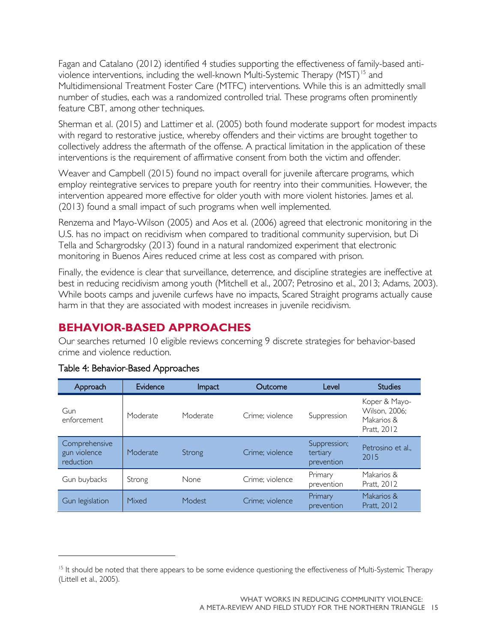Fagan and Catalano (2012) identified 4 studies supporting the effectiveness of family-based anti-violence interventions, including the well-known Multi-Systemic Therapy (MST)<sup>[15](#page-18-1)</sup> and Multidimensional Treatment Foster Care (MTFC) interventions. While this is an admittedly small number of studies, each was a randomized controlled trial. These programs often prominently feature CBT, among other techniques.

Sherman et al. (2015) and Lattimer et al. (2005) both found moderate support for modest impacts with regard to restorative justice, whereby offenders and their victims are brought together to collectively address the aftermath of the offense. A practical limitation in the application of these interventions is the requirement of affirmative consent from both the victim and offender.

Weaver and Campbell (2015) found no impact overall for juvenile aftercare programs, which employ reintegrative services to prepare youth for reentry into their communities. However, the intervention appeared more effective for older youth with more violent histories. James et al. (2013) found a small impact of such programs when well implemented.

Renzema and Mayo-Wilson (2005) and Aos et al. (2006) agreed that electronic monitoring in the U.S. has no impact on recidivism when compared to traditional community supervision, but Di Tella and Schargrodsky (2013) found in a natural randomized experiment that electronic monitoring in Buenos Aires reduced crime at less cost as compared with prison.

Finally, the evidence is clear that surveillance, deterrence, and discipline strategies are ineffective at best in reducing recidivism among youth (Mitchell et al., 2007; Petrosino et al., 2013; Adams, 2003). While boots camps and juvenile curfews have no impacts, Scared Straight programs actually cause harm in that they are associated with modest increases in juvenile recidivism.

## <span id="page-18-0"></span>**BEHAVIOR-BASED APPROACHES**

Our searches returned 10 eligible reviews concerning 9 discrete strategies for behavior-based crime and violence reduction.

| Approach                                   | Evidence | <b>Impact</b> | Outcome         | Level                                  | <b>Studies</b>                                              |
|--------------------------------------------|----------|---------------|-----------------|----------------------------------------|-------------------------------------------------------------|
| Gun<br>enforcement                         | Moderate | Moderate      | Crime: violence | Suppression                            | Koper & Mayo-<br>Wilson, 2006;<br>Makarios &<br>Pratt, 2012 |
| Comprehensive<br>gun violence<br>reduction | Moderate | Strong        | Crime; violence | Suppression;<br>tertiary<br>prevention | Petrosino et al<br>2015                                     |
| Gun buybacks                               | Strong   | <b>None</b>   | Crime; violence | Primary<br>prevention                  | Makarios &<br>Pratt, 2012                                   |
| Gun legislation                            | Mixed    | Modest        | Crime; violence | Primary<br>prevention                  | Makarios &<br>Pratt, 2012                                   |

#### Table 4: Behavior-Based Approaches

 $\overline{a}$ 

<span id="page-18-1"></span><sup>&</sup>lt;sup>15</sup> It should be noted that there appears to be some evidence questioning the effectiveness of Multi-Systemic Therapy (Littell et al., 2005).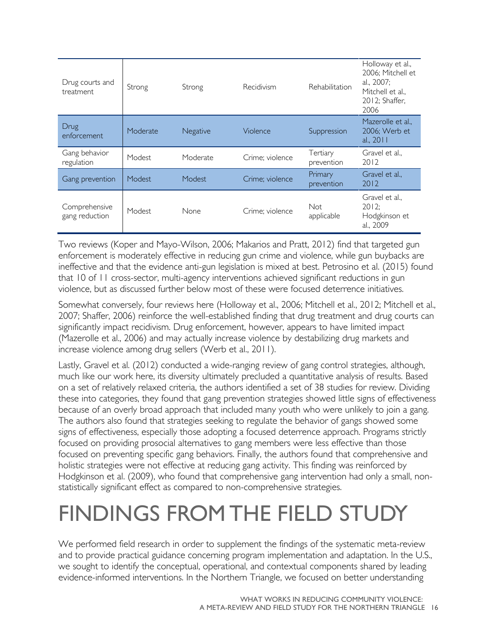| Drug courts and<br>treatment    | Recidivism<br>Strong<br>Strong |               | Rehabilitation  | Holloway et al.,<br>2006; Mitchell et<br>al., 2007;<br>Mitchell et al<br>2012; Shaffer,<br>2006 |                                                       |
|---------------------------------|--------------------------------|---------------|-----------------|-------------------------------------------------------------------------------------------------|-------------------------------------------------------|
| Drug<br>enforcement             | Moderate                       | Negative      | Violence        | Suppression                                                                                     | Mazerolle et al.,<br>2006; Werb et<br>al., 2011       |
| Gang behavior<br>regulation     | Modest                         | Moderate      | Crime; violence | Tertiary<br>prevention                                                                          | Gravel et al.,<br>2012                                |
| Gang prevention                 | Modest                         | <b>Modest</b> | Crime; violence | Primary<br>prevention                                                                           | Gravel et al.,<br>2012                                |
| Comprehensive<br>gang reduction | Modest                         | None          | Crime; violence | Not<br>applicable                                                                               | Gravel et al.,<br>2012:<br>Hodgkinson et<br>al., 2009 |

Two reviews (Koper and Mayo-Wilson, 2006; Makarios and Pratt, 2012) find that targeted gun enforcement is moderately effective in reducing gun crime and violence, while gun buybacks are ineffective and that the evidence anti-gun legislation is mixed at best. Petrosino et al. (2015) found that 10 of 11 cross-sector, multi-agency interventions achieved significant reductions in gun violence, but as discussed further below most of these were focused deterrence initiatives.

Somewhat conversely, four reviews here (Holloway et al., 2006; Mitchell et al., 2012; Mitchell et al., 2007; Shaffer, 2006) reinforce the well-established finding that drug treatment and drug courts can significantly impact recidivism. Drug enforcement, however, appears to have limited impact (Mazerolle et al., 2006) and may actually increase violence by destabilizing drug markets and increase violence among drug sellers (Werb et al., 2011).

Lastly, Gravel et al. (2012) conducted a wide-ranging review of gang control strategies, although, much like our work here, its diversity ultimately precluded a quantitative analysis of results. Based on a set of relatively relaxed criteria, the authors identified a set of 38 studies for review. Dividing these into categories, they found that gang prevention strategies showed little signs of effectiveness because of an overly broad approach that included many youth who were unlikely to join a gang. The authors also found that strategies seeking to regulate the behavior of gangs showed some signs of effectiveness, especially those adopting a focused deterrence approach. Programs strictly focused on providing prosocial alternatives to gang members were less effective than those focused on preventing specific gang behaviors. Finally, the authors found that comprehensive and holistic strategies were not effective at reducing gang activity. This finding was reinforced by Hodgkinson et al. (2009), who found that comprehensive gang intervention had only a small, nonstatistically significant effect as compared to non-comprehensive strategies.

## <span id="page-19-0"></span>FINDINGS FROM THE FIELD STUDY

We performed field research in order to supplement the findings of the systematic meta-review and to provide practical guidance concerning program implementation and adaptation. In the U.S., we sought to identify the conceptual, operational, and contextual components shared by leading evidence-informed interventions. In the Northern Triangle, we focused on better understanding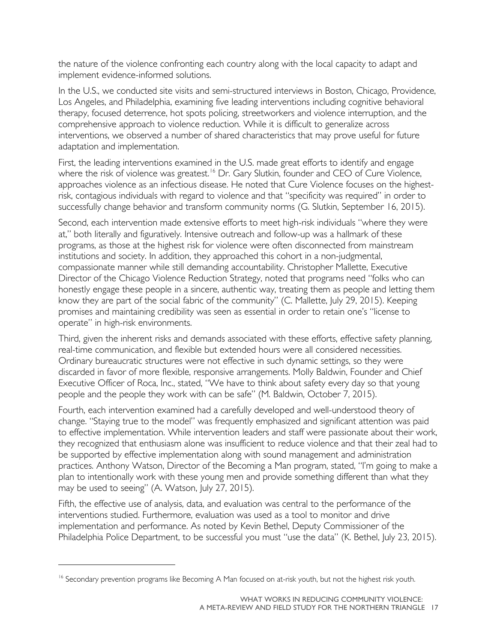the nature of the violence confronting each country along with the local capacity to adapt and implement evidence-informed solutions.

In the U.S., we conducted site visits and semi-structured interviews in Boston, Chicago, Providence, Los Angeles, and Philadelphia, examining five leading interventions including cognitive behavioral therapy, focused deterrence, hot spots policing, streetworkers and violence interruption, and the comprehensive approach to violence reduction. While it is difficult to generalize across interventions, we observed a number of shared characteristics that may prove useful for future adaptation and implementation.

First, the leading interventions examined in the U.S. made great efforts to identify and engage where the risk of violence was greatest.<sup>[16](#page-20-0)</sup> Dr. Gary Slutkin, founder and CEO of Cure Violence, approaches violence as an infectious disease. He noted that Cure Violence focuses on the highestrisk, contagious individuals with regard to violence and that "specificity was required" in order to successfully change behavior and transform community norms (G. Slutkin, September 16, 2015).

Second, each intervention made extensive efforts to meet high-risk individuals "where they were at," both literally and figuratively. Intensive outreach and follow-up was a hallmark of these programs, as those at the highest risk for violence were often disconnected from mainstream institutions and society. In addition, they approached this cohort in a non-judgmental, compassionate manner while still demanding accountability. Christopher Mallette, Executive Director of the Chicago Violence Reduction Strategy, noted that programs need "folks who can honestly engage these people in a sincere, authentic way, treating them as people and letting them know they are part of the social fabric of the community" (C. Mallette, July 29, 2015). Keeping promises and maintaining credibility was seen as essential in order to retain one's "license to operate" in high-risk environments.

Third, given the inherent risks and demands associated with these efforts, effective safety planning, real-time communication, and flexible but extended hours were all considered necessities. Ordinary bureaucratic structures were not effective in such dynamic settings, so they were discarded in favor of more flexible, responsive arrangements. Molly Baldwin, Founder and Chief Executive Officer of Roca, Inc., stated, "We have to think about safety every day so that young people and the people they work with can be safe" (M. Baldwin, October 7, 2015).

Fourth, each intervention examined had a carefully developed and well-understood theory of change. "Staying true to the model" was frequently emphasized and significant attention was paid to effective implementation. While intervention leaders and staff were passionate about their work, they recognized that enthusiasm alone was insufficient to reduce violence and that their zeal had to be supported by effective implementation along with sound management and administration practices. Anthony Watson, Director of the Becoming a Man program, stated, "I'm going to make a plan to intentionally work with these young men and provide something different than what they may be used to seeing" (A. Watson, July 27, 2015).

Fifth, the effective use of analysis, data, and evaluation was central to the performance of the interventions studied. Furthermore, evaluation was used as a tool to monitor and drive implementation and performance. As noted by Kevin Bethel, Deputy Commissioner of the Philadelphia Police Department, to be successful you must "use the data" (K. Bethel, July 23, 2015).

 $\overline{a}$ 

<span id="page-20-0"></span><sup>&</sup>lt;sup>16</sup> Secondary prevention programs like Becoming A Man focused on at-risk youth, but not the highest risk youth.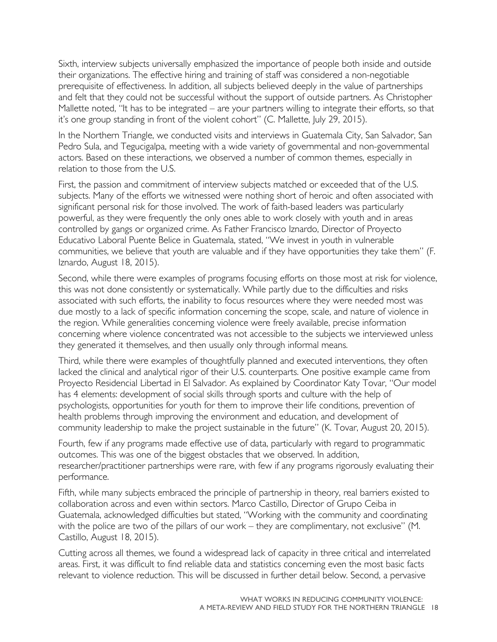Sixth, interview subjects universally emphasized the importance of people both inside and outside their organizations. The effective hiring and training of staff was considered a non-negotiable prerequisite of effectiveness. In addition, all subjects believed deeply in the value of partnerships and felt that they could not be successful without the support of outside partners. As Christopher Mallette noted, "It has to be integrated – are your partners willing to integrate their efforts, so that it's one group standing in front of the violent cohort" (C. Mallette, July 29, 2015).

In the Northern Triangle, we conducted visits and interviews in Guatemala City, San Salvador, San Pedro Sula, and Tegucigalpa, meeting with a wide variety of governmental and non-governmental actors. Based on these interactions, we observed a number of common themes, especially in relation to those from the U.S.

First, the passion and commitment of interview subjects matched or exceeded that of the U.S. subjects. Many of the efforts we witnessed were nothing short of heroic and often associated with significant personal risk for those involved. The work of faith-based leaders was particularly powerful, as they were frequently the only ones able to work closely with youth and in areas controlled by gangs or organized crime. As Father Francisco Iznardo, Director of Proyecto Educativo Laboral Puente Belice in Guatemala, stated, "We invest in youth in vulnerable communities, we believe that youth are valuable and if they have opportunities they take them" (F. Iznardo, August 18, 2015).

Second, while there were examples of programs focusing efforts on those most at risk for violence, this was not done consistently or systematically. While partly due to the difficulties and risks associated with such efforts, the inability to focus resources where they were needed most was due mostly to a lack of specific information concerning the scope, scale, and nature of violence in the region. While generalities concerning violence were freely available, precise information concerning where violence concentrated was not accessible to the subjects we interviewed unless they generated it themselves, and then usually only through informal means.

Third, while there were examples of thoughtfully planned and executed interventions, they often lacked the clinical and analytical rigor of their U.S. counterparts. One positive example came from Proyecto Residencial Libertad in El Salvador. As explained by Coordinator Katy Tovar, "Our model has 4 elements: development of social skills through sports and culture with the help of psychologists, opportunities for youth for them to improve their life conditions, prevention of health problems through improving the environment and education, and development of community leadership to make the project sustainable in the future" (K. Tovar, August 20, 2015).

Fourth, few if any programs made effective use of data, particularly with regard to programmatic outcomes. This was one of the biggest obstacles that we observed. In addition, researcher/practitioner partnerships were rare, with few if any programs rigorously evaluating their performance.

Fifth, while many subjects embraced the principle of partnership in theory, real barriers existed to collaboration across and even within sectors. Marco Castillo, Director of Grupo Ceiba in Guatemala, acknowledged difficulties but stated, "Working with the community and coordinating with the police are two of the pillars of our work – they are complimentary, not exclusive" (M. Castillo, August 18, 2015).

Cutting across all themes, we found a widespread lack of capacity in three critical and interrelated areas. First, it was difficult to find reliable data and statistics concerning even the most basic facts relevant to violence reduction. This will be discussed in further detail below. Second, a pervasive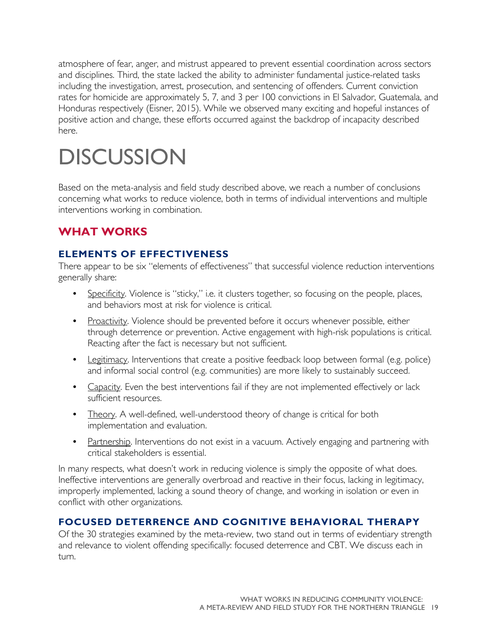atmosphere of fear, anger, and mistrust appeared to prevent essential coordination across sectors and disciplines. Third, the state lacked the ability to administer fundamental justice-related tasks including the investigation, arrest, prosecution, and sentencing of offenders. Current conviction rates for homicide are approximately 5, 7, and 3 per 100 convictions in El Salvador, Guatemala, and Honduras respectively (Eisner, 2015). While we observed many exciting and hopeful instances of positive action and change, these efforts occurred against the backdrop of incapacity described here.

# <span id="page-22-0"></span>**DISCUSSION**

Based on the meta-analysis and field study described above, we reach a number of conclusions concerning what works to reduce violence, both in terms of individual interventions and multiple interventions working in combination.

## <span id="page-22-1"></span>**WHAT WORKS**

#### **ELEMENTS OF EFFECTIVENESS**

There appear to be six "elements of effectiveness" that successful violence reduction interventions generally share:

- Specificity. Violence is "sticky," i.e. it clusters together, so focusing on the people, places, and behaviors most at risk for violence is critical.
- Proactivity. Violence should be prevented before it occurs whenever possible, either through deterrence or prevention. Active engagement with high-risk populations is critical. Reacting after the fact is necessary but not sufficient.
- Legitimacy. Interventions that create a positive feedback loop between formal (e.g. police) and informal social control (e.g. communities) are more likely to sustainably succeed.
- Capacity. Even the best interventions fail if they are not implemented effectively or lack sufficient resources.
- Theory. A well-defined, well-understood theory of change is critical for both implementation and evaluation.
- Partnership. Interventions do not exist in a vacuum. Actively engaging and partnering with critical stakeholders is essential.

In many respects, what doesn't work in reducing violence is simply the opposite of what does. Ineffective interventions are generally overbroad and reactive in their focus, lacking in legitimacy, improperly implemented, lacking a sound theory of change, and working in isolation or even in conflict with other organizations.

#### **FOCUSED DETERRENCE AND COGNITIVE BEHAVIORAL THERAPY**

Of the 30 strategies examined by the meta-review, two stand out in terms of evidentiary strength and relevance to violent offending specifically: focused deterrence and CBT. We discuss each in turn.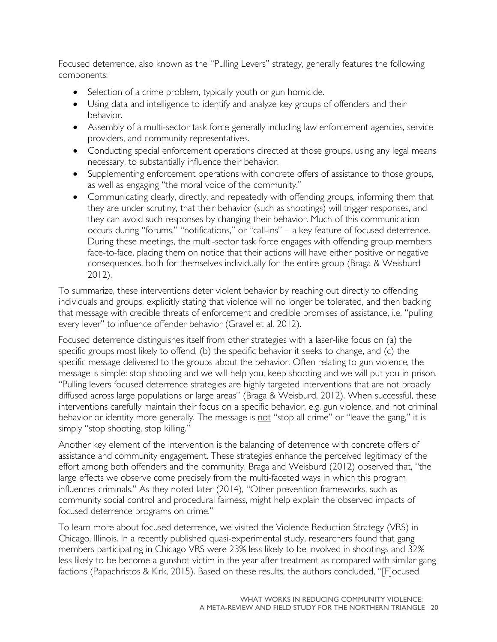Focused deterrence, also known as the "Pulling Levers" strategy, generally features the following components:

- Selection of a crime problem, typically youth or gun homicide.
- Using data and intelligence to identify and analyze key groups of offenders and their behavior.
- Assembly of a multi-sector task force generally including law enforcement agencies, service providers, and community representatives.
- Conducting special enforcement operations directed at those groups, using any legal means necessary, to substantially influence their behavior.
- Supplementing enforcement operations with concrete offers of assistance to those groups, as well as engaging "the moral voice of the community."
- Communicating clearly, directly, and repeatedly with offending groups, informing them that they are under scrutiny, that their behavior (such as shootings) will trigger responses, and they can avoid such responses by changing their behavior. Much of this communication occurs during "forums," "notifications," or "call-ins" – a key feature of focused deterrence. During these meetings, the multi-sector task force engages with offending group members face-to-face, placing them on notice that their actions will have either positive or negative consequences, both for themselves individually for the entire group (Braga & Weisburd 2012).

To summarize, these interventions deter violent behavior by reaching out directly to offending individuals and groups, explicitly stating that violence will no longer be tolerated, and then backing that message with credible threats of enforcement and credible promises of assistance, i.e. "pulling every lever" to influence offender behavior (Gravel et al. 2012).

Focused deterrence distinguishes itself from other strategies with a laser-like focus on (a) the specific groups most likely to offend, (b) the specific behavior it seeks to change, and (c) the specific message delivered to the groups about the behavior. Often relating to gun violence, the message is simple: stop shooting and we will help you, keep shooting and we will put you in prison. "Pulling levers focused deterrence strategies are highly targeted interventions that are not broadly diffused across large populations or large areas" (Braga & Weisburd, 2012). When successful, these interventions carefully maintain their focus on a specific behavior, e.g. gun violence, and not criminal behavior or identity more generally. The message is not "stop all crime" or "leave the gang," it is simply "stop shooting, stop killing."

Another key element of the intervention is the balancing of deterrence with concrete offers of assistance and community engagement. These strategies enhance the perceived legitimacy of the effort among both offenders and the community. Braga and Weisburd (2012) observed that, "the large effects we observe come precisely from the multi-faceted ways in which this program influences criminals." As they noted later (2014), "Other prevention frameworks, such as community social control and procedural fairness, might help explain the observed impacts of focused deterrence programs on crime."

To learn more about focused deterrence, we visited the Violence Reduction Strategy (VRS) in Chicago, Illinois. In a recently published quasi-experimental study, researchers found that gang members participating in Chicago VRS were 23% less likely to be involved in shootings and 32% less likely to be become a gunshot victim in the year after treatment as compared with similar gang factions (Papachristos & Kirk, 2015). Based on these results, the authors concluded, "[F]ocused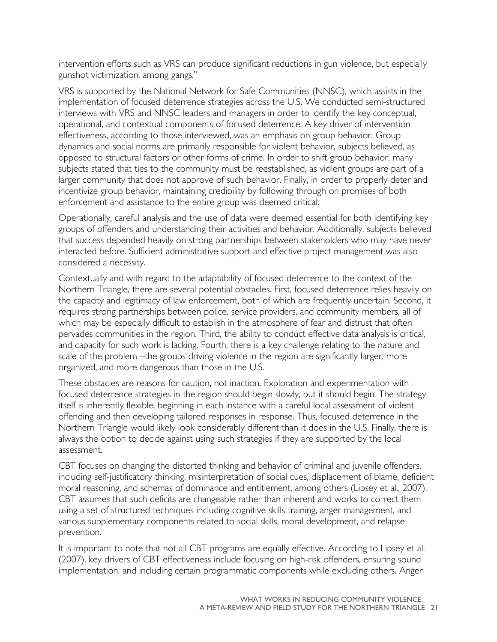intervention efforts such as VRS can produce significant reductions in gun violence, but especially gunshot victimization, among gangs."

VRS is supported by the National Network for Safe Communities (NNSC), which assists in the implementation of focused deterrence strategies across the U.S. We conducted semi-structured interviews with VRS and NNSC leaders and managers in order to identify the key conceptual, operational, and contextual components of focused deterrence. A key driver of intervention effectiveness, according to those interviewed, was an emphasis on group behavior. Group dynamics and social norms are primarily responsible for violent behavior, subjects believed, as opposed to structural factors or other forms of crime. In order to shift group behavior, many subjects stated that ties to the community must be reestablished, as violent groups are part of a larger community that does not approve of such behavior. Finally, in order to properly deter and incentivize group behavior, maintaining credibility by following through on promises of both enforcement and assistance to the entire group was deemed critical.

Operationally, careful analysis and the use of data were deemed essential for both identifying key groups of offenders and understanding their activities and behavior. Additionally, subjects believed that success depended heavily on strong partnerships between stakeholders who may have never interacted before. Sufficient administrative support and effective project management was also considered a necessity.

Contextually and with regard to the adaptability of focused deterrence to the context of the Northern Triangle, there are several potential obstacles. First, focused deterrence relies heavily on the capacity and legitimacy of law enforcement, both of which are frequently uncertain. Second, it requires strong partnerships between police, service providers, and community members, all of which may be especially difficult to establish in the atmosphere of fear and distrust that often pervades communities in the region. Third, the ability to conduct effective data analysis is critical, and capacity for such work is lacking. Fourth, there is a key challenge relating to the nature and scale of the problem –the groups driving violence in the region are significantly larger, more organized, and more dangerous than those in the U.S.

These obstacles are reasons for caution, not inaction. Exploration and experimentation with focused deterrence strategies in the region should begin slowly, but it should begin. The strategy itself is inherently flexible, beginning in each instance with a careful local assessment of violent offending and then developing tailored responses in response. Thus, focused deterrence in the Northern Triangle would likely look considerably different than it does in the U.S. Finally, there is always the option to decide against using such strategies if they are supported by the local assessment.

CBT focuses on changing the distorted thinking and behavior of criminal and juvenile offenders, including self-justificatory thinking, misinterpretation of social cues, displacement of blame, deficient moral reasoning, and schemas of dominance and entitlement, among others (Lipsey et al., 2007). CBT assumes that such deficits are changeable rather than inherent and works to correct them using a set of structured techniques including cognitive skills training, anger management, and various supplementary components related to social skills, moral development, and relapse prevention.

It is important to note that not all CBT programs are equally effective. According to Lipsey et al. (2007), key drivers of CBT effectiveness include focusing on high-risk offenders, ensuring sound implementation, and including certain programmatic components while excluding others. Anger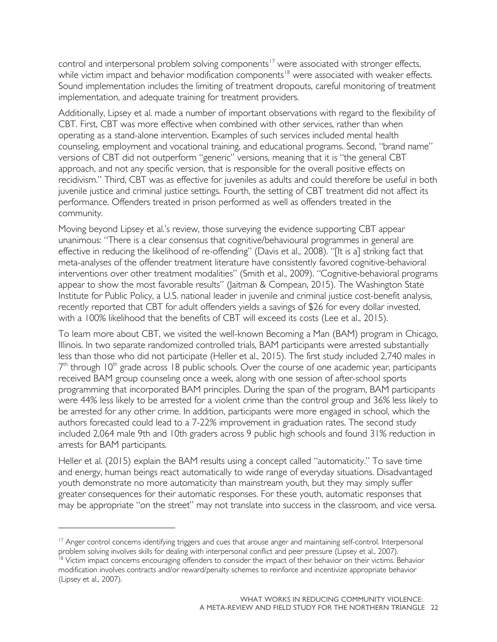control and interpersonal problem solving components<sup>[17](#page-25-0)</sup> were associated with stronger effects, while victim impact and behavior modification components<sup>[18](#page-25-1)</sup> were associated with weaker effects. Sound implementation includes the limiting of treatment dropouts, careful monitoring of treatment implementation, and adequate training for treatment providers.

Additionally, Lipsey et al. made a number of important observations with regard to the flexibility of CBT. First, CBT was more effective when combined with other services, rather than when operating as a stand-alone intervention. Examples of such services included mental health counseling, employment and vocational training, and educational programs. Second, "brand name" versions of CBT did not outperform "generic" versions, meaning that it is "the general CBT approach, and not any specific version, that is responsible for the overall positive effects on recidivism." Third, CBT was as effective for juveniles as adults and could therefore be useful in both juvenile justice and criminal justice settings. Fourth, the setting of CBT treatment did not affect its performance. Offenders treated in prison performed as well as offenders treated in the community.

Moving beyond Lipsey et al.'s review, those surveying the evidence supporting CBT appear unanimous: "There is a clear consensus that cognitive/behavioural programmes in general are effective in reducing the likelihood of re-offending" (Davis et al., 2008). "[It is a] striking fact that meta-analyses of the offender treatment literature have consistently favored cognitive-behavioral interventions over other treatment modalities" (Smith et al., 2009). "Cognitive-behavioral programs appear to show the most favorable results" (Jaitman & Compean, 2015). The Washington State Institute for Public Policy, a U.S. national leader in juvenile and criminal justice cost-benefit analysis, recently reported that CBT for adult offenders yields a savings of \$26 for every dollar invested, with a 100% likelihood that the benefits of CBT will exceed its costs (Lee et al., 2015).

To learn more about CBT, we visited the well-known Becoming a Man (BAM) program in Chicago, Illinois. In two separate randomized controlled trials, BAM participants were arrested substantially less than those who did not participate (Heller et al., 2015). The first study included 2,740 males in  $7<sup>th</sup>$  through 10<sup>th</sup> grade across 18 public schools. Over the course of one academic year, participants received BAM group counseling once a week, along with one session of after-school sports programming that incorporated BAM principles. During the span of the program, BAM participants were 44% less likely to be arrested for a violent crime than the control group and 36% less likely to be arrested for any other crime. In addition, participants were more engaged in school, which the authors forecasted could lead to a 7-22% improvement in graduation rates. The second study included 2,064 male 9th and 10th graders across 9 public high schools and found 31% reduction in arrests for BAM participants.

Heller et al. (2015) explain the BAM results using a concept called "automaticity." To save time and energy, human beings react automatically to wide range of everyday situations. Disadvantaged youth demonstrate no more automaticity than mainstream youth, but they may simply suffer greater consequences for their automatic responses. For these youth, automatic responses that may be appropriate "on the street" may not translate into success in the classroom, and vice versa.

 $\overline{a}$ 

<span id="page-25-0"></span><sup>&</sup>lt;sup>17</sup> Anger control concerns identifying triggers and cues that arouse anger and maintaining self-control. Interpersonal problem solving involves skills for dealing with interpersonal conflict and peer pressure (Lipsey et al., 2007).

<span id="page-25-1"></span><sup>&</sup>lt;sup>18</sup> Victim impact concerns encouraging offenders to consider the impact of their behavior on their victims. Behavior modification involves contracts and/or reward/penalty schemes to reinforce and incentivize appropriate behavior (Lipsey et al., 2007).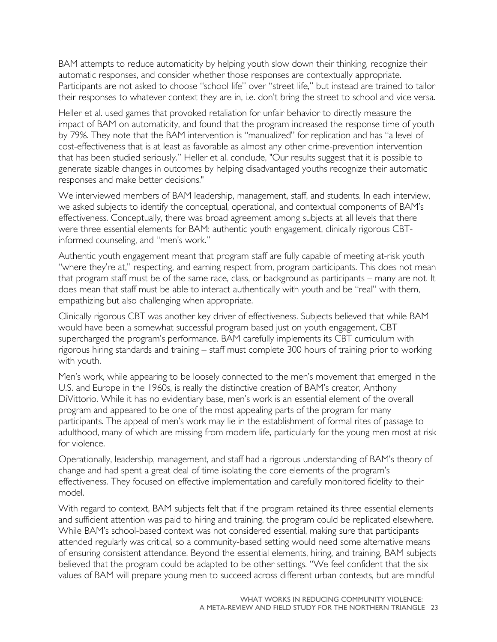BAM attempts to reduce automaticity by helping youth slow down their thinking, recognize their automatic responses, and consider whether those responses are contextually appropriate. Participants are not asked to choose "school life" over "street life," but instead are trained to tailor their responses to whatever context they are in, i.e. don't bring the street to school and vice versa.

Heller et al. used games that provoked retaliation for unfair behavior to directly measure the impact of BAM on automaticity, and found that the program increased the response time of youth by 79%. They note that the BAM intervention is "manualized" for replication and has "a level of cost-effectiveness that is at least as favorable as almost any other crime-prevention intervention that has been studied seriously." Heller et al. conclude, "Our results suggest that it is possible to generate sizable changes in outcomes by helping disadvantaged youths recognize their automatic responses and make better decisions."

We interviewed members of BAM leadership, management, staff, and students. In each interview, we asked subjects to identify the conceptual, operational, and contextual components of BAM's effectiveness. Conceptually, there was broad agreement among subjects at all levels that there were three essential elements for BAM: authentic youth engagement, clinically rigorous CBTinformed counseling, and "men's work."

Authentic youth engagement meant that program staff are fully capable of meeting at-risk youth "where they're at," respecting, and earning respect from, program participants. This does not mean that program staff must be of the same race, class, or background as participants – many are not. It does mean that staff must be able to interact authentically with youth and be "real" with them, empathizing but also challenging when appropriate.

Clinically rigorous CBT was another key driver of effectiveness. Subjects believed that while BAM would have been a somewhat successful program based just on youth engagement, CBT supercharged the program's performance. BAM carefully implements its CBT curriculum with rigorous hiring standards and training – staff must complete 300 hours of training prior to working with youth.

Men's work, while appearing to be loosely connected to the men's movement that emerged in the U.S. and Europe in the 1960s, is really the distinctive creation of BAM's creator, Anthony DiVittorio. While it has no evidentiary base, men's work is an essential element of the overall program and appeared to be one of the most appealing parts of the program for many participants. The appeal of men's work may lie in the establishment of formal rites of passage to adulthood, many of which are missing from modern life, particularly for the young men most at risk for violence.

Operationally, leadership, management, and staff had a rigorous understanding of BAM's theory of change and had spent a great deal of time isolating the core elements of the program's effectiveness. They focused on effective implementation and carefully monitored fidelity to their model.

With regard to context, BAM subjects felt that if the program retained its three essential elements and sufficient attention was paid to hiring and training, the program could be replicated elsewhere. While BAM's school-based context was not considered essential, making sure that participants attended regularly was critical, so a community-based setting would need some alternative means of ensuring consistent attendance. Beyond the essential elements, hiring, and training, BAM subjects believed that the program could be adapted to be other settings. "We feel confident that the six values of BAM will prepare young men to succeed across different urban contexts, but are mindful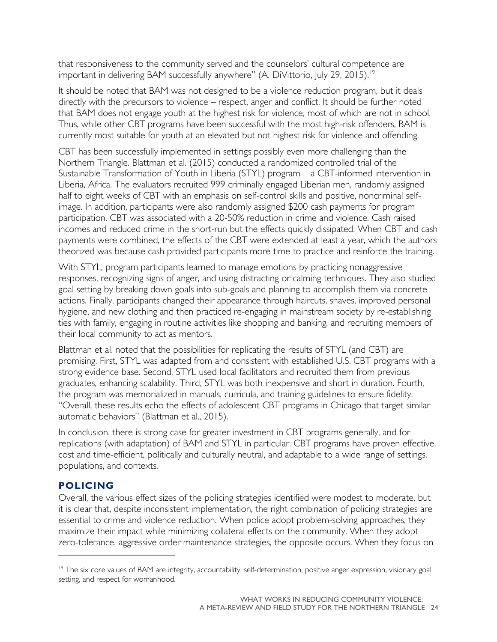that responsiveness to the community served and the counselors' cultural competence are important in delivering BAM successfully anywhere" (A. DiVittorio, July 29, 2015).<sup>[19](#page-27-0)</sup>

It should be noted that BAM was not designed to be a violence reduction program, but it deals directly with the precursors to violence – respect, anger and conflict. It should be further noted that BAM does not engage youth at the highest risk for violence, most of which are not in school. Thus, while other CBT programs have been successful with the most high-risk offenders, BAM is currently most suitable for youth at an elevated but not highest risk for violence and offending.

CBT has been successfully implemented in settings possibly even more challenging than the Northern Triangle. Blattman et al. (2015) conducted a randomized controlled trial of the Sustainable Transformation of Youth in Liberia (STYL) program – a CBT-informed intervention in Liberia, Africa. The evaluators recruited 999 criminally engaged Liberian men, randomly assigned half to eight weeks of CBT with an emphasis on self-control skills and positive, noncriminal selfimage. In addition, participants were also randomly assigned \$200 cash payments for program participation. CBT was associated with a 20-50% reduction in crime and violence. Cash raised incomes and reduced crime in the short-run but the effects quickly dissipated. When CBT and cash payments were combined, the effects of the CBT were extended at least a year, which the authors theorized was because cash provided participants more time to practice and reinforce the training.

With STYL, program participants learned to manage emotions by practicing nonaggressive responses, recognizing signs of anger, and using distracting or calming techniques. They also studied goal setting by breaking down goals into sub-goals and planning to accomplish them via concrete actions. Finally, participants changed their appearance through haircuts, shaves, improved personal hygiene, and new clothing and then practiced re-engaging in mainstream society by re-establishing ties with family, engaging in routine activities like shopping and banking, and recruiting members of their local community to act as mentors.

Blattman et al. noted that the possibilities for replicating the results of STYL (and CBT) are promising. First, STYL was adapted from and consistent with established U.S. CBT programs with a strong evidence base. Second, STYL used local facilitators and recruited them from previous graduates, enhancing scalability. Third, STYL was both inexpensive and short in duration. Fourth, the program was memorialized in manuals, curricula, and training guidelines to ensure fidelity. "Overall, these results echo the effects of adolescent CBT programs in Chicago that target similar automatic behaviors" (Blattman et al., 2015).

In conclusion, there is strong case for greater investment in CBT programs generally, and for replications (with adaptation) of BAM and STYL in particular. CBT programs have proven effective, cost and time-efficient, politically and culturally neutral, and adaptable to a wide range of settings, populations, and contexts.

#### **POLICING**

 $\overline{a}$ 

Overall, the various effect sizes of the policing strategies identified were modest to moderate, but it is clear that, despite inconsistent implementation, the right combination of policing strategies are essential to crime and violence reduction. When police adopt problem-solving approaches, they maximize their impact while minimizing collateral effects on the community. When they adopt zero-tolerance, aggressive order maintenance strategies, the opposite occurs. When they focus on

<span id="page-27-0"></span><sup>&</sup>lt;sup>19</sup> The six core values of BAM are integrity, accountability, self-determination, positive anger expression, visionary goal setting, and respect for womanhood.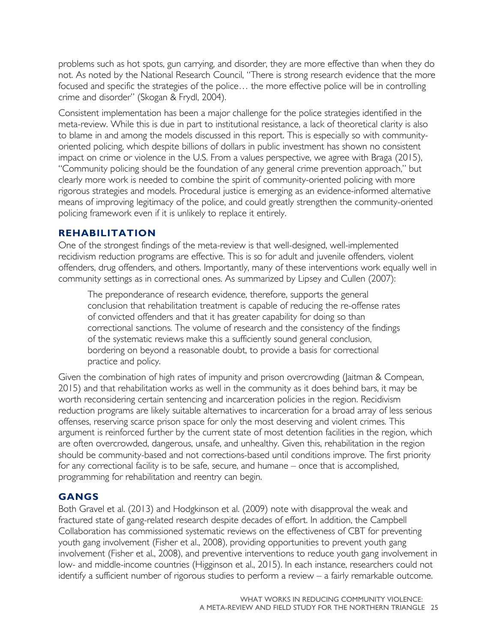problems such as hot spots, gun carrying, and disorder, they are more effective than when they do not. As noted by the National Research Council, "There is strong research evidence that the more focused and specific the strategies of the police… the more effective police will be in controlling crime and disorder" (Skogan & Frydl, 2004).

Consistent implementation has been a major challenge for the police strategies identified in the meta-review. While this is due in part to institutional resistance, a lack of theoretical clarity is also to blame in and among the models discussed in this report. This is especially so with communityoriented policing, which despite billions of dollars in public investment has shown no consistent impact on crime or violence in the U.S. From a values perspective, we agree with Braga (2015), "Community policing should be the foundation of any general crime prevention approach," but clearly more work is needed to combine the spirit of community-oriented policing with more rigorous strategies and models. Procedural justice is emerging as an evidence-informed alternative means of improving legitimacy of the police, and could greatly strengthen the community-oriented policing framework even if it is unlikely to replace it entirely.

#### **REHABILITATION**

One of the strongest findings of the meta-review is that well-designed, well-implemented recidivism reduction programs are effective. This is so for adult and juvenile offenders, violent offenders, drug offenders, and others. Importantly, many of these interventions work equally well in community settings as in correctional ones. As summarized by Lipsey and Cullen (2007):

The preponderance of research evidence, therefore, supports the general conclusion that rehabilitation treatment is capable of reducing the re-offense rates of convicted offenders and that it has greater capability for doing so than correctional sanctions. The volume of research and the consistency of the findings of the systematic reviews make this a sufficiently sound general conclusion, bordering on beyond a reasonable doubt, to provide a basis for correctional practice and policy.

Given the combination of high rates of impunity and prison overcrowding (Jaitman & Compean, 2015) and that rehabilitation works as well in the community as it does behind bars, it may be worth reconsidering certain sentencing and incarceration policies in the region. Recidivism reduction programs are likely suitable alternatives to incarceration for a broad array of less serious offenses, reserving scarce prison space for only the most deserving and violent crimes. This argument is reinforced further by the current state of most detention facilities in the region, which are often overcrowded, dangerous, unsafe, and unhealthy. Given this, rehabilitation in the region should be community-based and not corrections-based until conditions improve. The first priority for any correctional facility is to be safe, secure, and humane – once that is accomplished, programming for rehabilitation and reentry can begin.

#### **GANGS**

Both Gravel et al. (2013) and Hodgkinson et al. (2009) note with disapproval the weak and fractured state of gang-related research despite decades of effort. In addition, the Campbell Collaboration has commissioned systematic reviews on the effectiveness of CBT for preventing youth gang involvement (Fisher et al., 2008), providing opportunities to prevent youth gang involvement (Fisher et al., 2008), and preventive interventions to reduce youth gang involvement in low- and middle-income countries (Higginson et al., 2015). In each instance, researchers could not identify a sufficient number of rigorous studies to perform a review – a fairly remarkable outcome.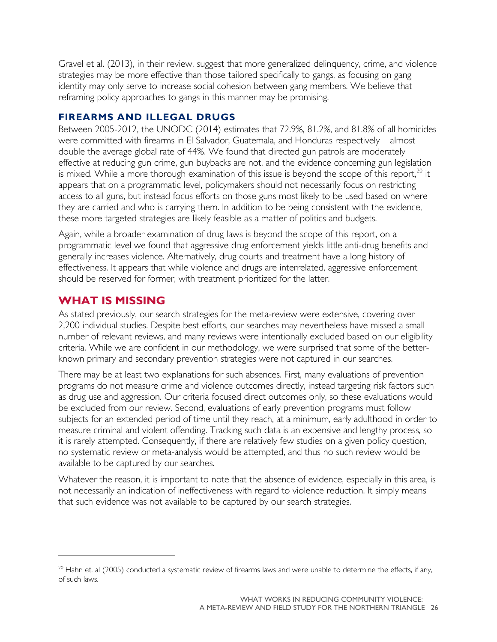Gravel et al. (2013), in their review, suggest that more generalized delinquency, crime, and violence strategies may be more effective than those tailored specifically to gangs, as focusing on gang identity may only serve to increase social cohesion between gang members. We believe that reframing policy approaches to gangs in this manner may be promising.

#### **FIREARMS AND ILLEGAL DRUGS**

Between 2005-2012, the UNODC (2014) estimates that 72.9%, 81.2%, and 81.8% of all homicides were committed with firearms in El Salvador, Guatemala, and Honduras respectively – almost double the average global rate of 44%. We found that directed gun patrols are moderately effective at reducing gun crime, gun buybacks are not, and the evidence concerning gun legislation is mixed. While a more thorough examination of this issue is beyond the scope of this report, $^{20}$  $^{20}$  $^{20}$  it appears that on a programmatic level, policymakers should not necessarily focus on restricting access to all guns, but instead focus efforts on those guns most likely to be used based on where they are carried and who is carrying them. In addition to be being consistent with the evidence, these more targeted strategies are likely feasible as a matter of politics and budgets.

Again, while a broader examination of drug laws is beyond the scope of this report, on a programmatic level we found that aggressive drug enforcement yields little anti-drug benefits and generally increases violence. Alternatively, drug courts and treatment have a long history of effectiveness. It appears that while violence and drugs are interrelated, aggressive enforcement should be reserved for former, with treatment prioritized for the latter.

### <span id="page-29-0"></span>**WHAT IS MISSING**

 $\overline{a}$ 

As stated previously, our search strategies for the meta-review were extensive, covering over 2,200 individual studies. Despite best efforts, our searches may nevertheless have missed a small number of relevant reviews, and many reviews were intentionally excluded based on our eligibility criteria. While we are confident in our methodology, we were surprised that some of the betterknown primary and secondary prevention strategies were not captured in our searches.

There may be at least two explanations for such absences. First, many evaluations of prevention programs do not measure crime and violence outcomes directly, instead targeting risk factors such as drug use and aggression. Our criteria focused direct outcomes only, so these evaluations would be excluded from our review. Second, evaluations of early prevention programs must follow subjects for an extended period of time until they reach, at a minimum, early adulthood in order to measure criminal and violent offending. Tracking such data is an expensive and lengthy process, so it is rarely attempted. Consequently, if there are relatively few studies on a given policy question, no systematic review or meta-analysis would be attempted, and thus no such review would be available to be captured by our searches.

Whatever the reason, it is important to note that the absence of evidence, especially in this area, is not necessarily an indication of ineffectiveness with regard to violence reduction. It simply means that such evidence was not available to be captured by our search strategies.

<span id="page-29-1"></span> $20$  Hahn et. al (2005) conducted a systematic review of firearms laws and were unable to determine the effects, if any, of such laws.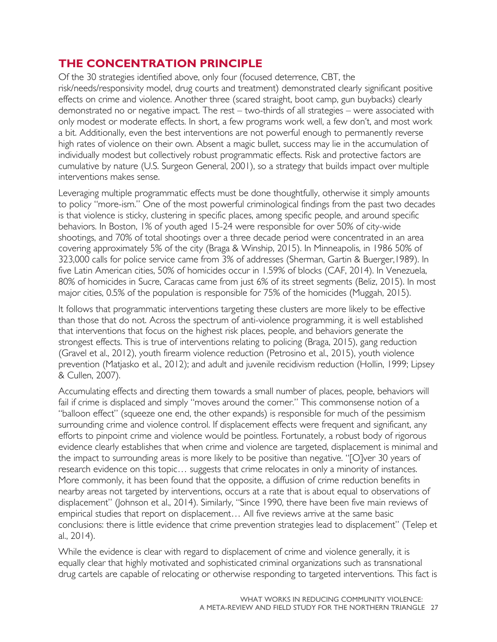## <span id="page-30-0"></span>**THE CONCENTRATION PRINCIPLE**

Of the 30 strategies identified above, only four (focused deterrence, CBT, the risk/needs/responsivity model, drug courts and treatment) demonstrated clearly significant positive effects on crime and violence. Another three (scared straight, boot camp, gun buybacks) clearly demonstrated no or negative impact. The rest – two-thirds of all strategies – were associated with only modest or moderate effects. In short, a few programs work well, a few don't, and most work a bit. Additionally, even the best interventions are not powerful enough to permanently reverse high rates of violence on their own. Absent a magic bullet, success may lie in the accumulation of individually modest but collectively robust programmatic effects. Risk and protective factors are cumulative by nature (U.S. Surgeon General, 2001), so a strategy that builds impact over multiple interventions makes sense.

Leveraging multiple programmatic effects must be done thoughtfully, otherwise it simply amounts to policy "more-ism." One of the most powerful criminological findings from the past two decades is that violence is sticky, clustering in specific places, among specific people, and around specific behaviors. In Boston, 1% of youth aged 15-24 were responsible for over 50% of city-wide shootings, and 70% of total shootings over a three decade period were concentrated in an area covering approximately 5% of the city (Braga & Winship, 2015). In Minneapolis, in 1986 50% of 323,000 calls for police service came from 3% of addresses (Sherman, Gartin & Buerger,1989). In five Latin American cities, 50% of homicides occur in 1.59% of blocks (CAF, 2014). In Venezuela, 80% of homicides in Sucre, Caracas came from just 6% of its street segments (Beliz, 2015). In most major cities, 0.5% of the population is responsible for 75% of the homicides (Muggah, 2015).

It follows that programmatic interventions targeting these clusters are more likely to be effective than those that do not. Across the spectrum of anti-violence programming, it is well established that interventions that focus on the highest risk places, people, and behaviors generate the strongest effects. This is true of interventions relating to policing (Braga, 2015), gang reduction (Gravel et al., 2012), youth firearm violence reduction (Petrosino et al., 2015), youth violence prevention (Matjasko et al., 2012); and adult and juvenile recidivism reduction (Hollin, 1999; Lipsey & Cullen, 2007).

Accumulating effects and directing them towards a small number of places, people, behaviors will fail if crime is displaced and simply "moves around the corner." This commonsense notion of a "balloon effect" (squeeze one end, the other expands) is responsible for much of the pessimism surrounding crime and violence control. If displacement effects were frequent and significant, any efforts to pinpoint crime and violence would be pointless. Fortunately, a robust body of rigorous evidence clearly establishes that when crime and violence are targeted, displacement is minimal and the impact to surrounding areas is more likely to be positive than negative. "[O]ver 30 years of research evidence on this topic… suggests that crime relocates in only a minority of instances. More commonly, it has been found that the opposite, a diffusion of crime reduction benefits in nearby areas not targeted by interventions, occurs at a rate that is about equal to observations of displacement" (Johnson et al., 2014). Similarly, "Since 1990, there have been five main reviews of empirical studies that report on displacement… All five reviews arrive at the same basic conclusions: there is little evidence that crime prevention strategies lead to displacement" (Telep et al., 2014).

While the evidence is clear with regard to displacement of crime and violence generally, it is equally clear that highly motivated and sophisticated criminal organizations such as transnational drug cartels are capable of relocating or otherwise responding to targeted interventions. This fact is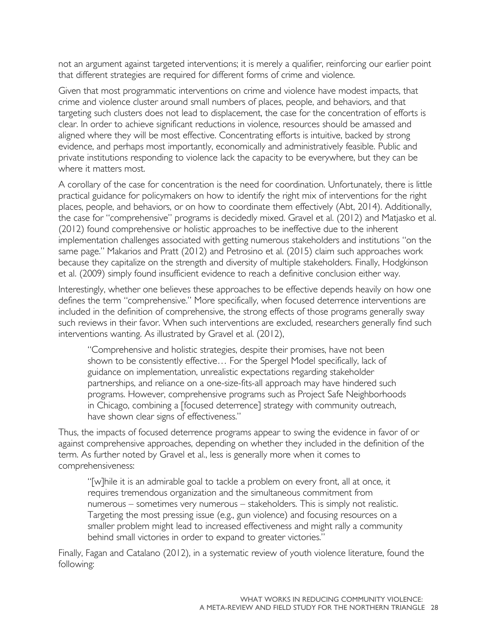not an argument against targeted interventions; it is merely a qualifier, reinforcing our earlier point that different strategies are required for different forms of crime and violence.

Given that most programmatic interventions on crime and violence have modest impacts, that crime and violence cluster around small numbers of places, people, and behaviors, and that targeting such clusters does not lead to displacement, the case for the concentration of efforts is clear. In order to achieve significant reductions in violence, resources should be amassed and aligned where they will be most effective. Concentrating efforts is intuitive, backed by strong evidence, and perhaps most importantly, economically and administratively feasible. Public and private institutions responding to violence lack the capacity to be everywhere, but they can be where it matters most.

A corollary of the case for concentration is the need for coordination. Unfortunately, there is little practical guidance for policymakers on how to identify the right mix of interventions for the right places, people, and behaviors, or on how to coordinate them effectively (Abt, 2014). Additionally, the case for "comprehensive" programs is decidedly mixed. Gravel et al. (2012) and Matjasko et al. (2012) found comprehensive or holistic approaches to be ineffective due to the inherent implementation challenges associated with getting numerous stakeholders and institutions "on the same page." Makarios and Pratt (2012) and Petrosino et al. (2015) claim such approaches work because they capitalize on the strength and diversity of multiple stakeholders. Finally, Hodgkinson et al. (2009) simply found insufficient evidence to reach a definitive conclusion either way.

Interestingly, whether one believes these approaches to be effective depends heavily on how one defines the term "comprehensive." More specifically, when focused deterrence interventions are included in the definition of comprehensive, the strong effects of those programs generally sway such reviews in their favor. When such interventions are excluded, researchers generally find such interventions wanting. As illustrated by Gravel et al. (2012),

"Comprehensive and holistic strategies, despite their promises, have not been shown to be consistently effective… For the Spergel Model specifically, lack of guidance on implementation, unrealistic expectations regarding stakeholder partnerships, and reliance on a one-size-fits-all approach may have hindered such programs. However, comprehensive programs such as Project Safe Neighborhoods in Chicago, combining a [focused deterrence] strategy with community outreach, have shown clear signs of effectiveness."

Thus, the impacts of focused deterrence programs appear to swing the evidence in favor of or against comprehensive approaches, depending on whether they included in the definition of the term. As further noted by Gravel et al., less is generally more when it comes to comprehensiveness:

"[w]hile it is an admirable goal to tackle a problem on every front, all at once, it requires tremendous organization and the simultaneous commitment from numerous – sometimes very numerous – stakeholders. This is simply not realistic. Targeting the most pressing issue (e.g., gun violence) and focusing resources on a smaller problem might lead to increased effectiveness and might rally a community behind small victories in order to expand to greater victories."

Finally, Fagan and Catalano (2012), in a systematic review of youth violence literature, found the following: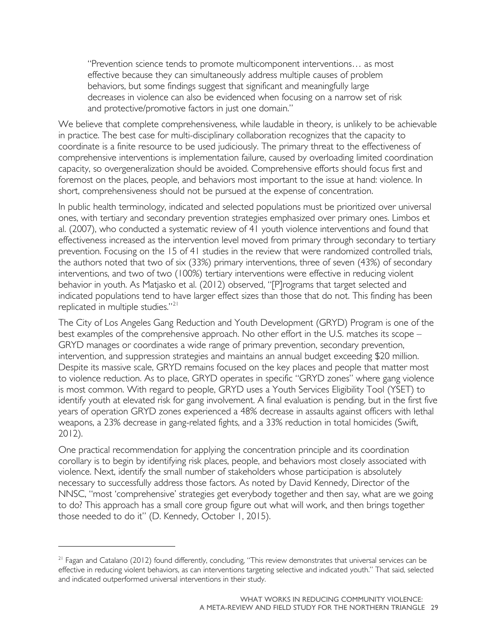"Prevention science tends to promote multicomponent interventions… as most effective because they can simultaneously address multiple causes of problem behaviors, but some findings suggest that significant and meaningfully large decreases in violence can also be evidenced when focusing on a narrow set of risk and protective/promotive factors in just one domain."

We believe that complete comprehensiveness, while laudable in theory, is unlikely to be achievable in practice. The best case for multi-disciplinary collaboration recognizes that the capacity to coordinate is a finite resource to be used judiciously. The primary threat to the effectiveness of comprehensive interventions is implementation failure, caused by overloading limited coordination capacity, so overgeneralization should be avoided. Comprehensive efforts should focus first and foremost on the places, people, and behaviors most important to the issue at hand: violence. In short, comprehensiveness should not be pursued at the expense of concentration.

In public health terminology, indicated and selected populations must be prioritized over universal ones, with tertiary and secondary prevention strategies emphasized over primary ones. Limbos et al. (2007), who conducted a systematic review of 41 youth violence interventions and found that effectiveness increased as the intervention level moved from primary through secondary to tertiary prevention. Focusing on the 15 of 41 studies in the review that were randomized controlled trials, the authors noted that two of six (33%) primary interventions, three of seven (43%) of secondary interventions, and two of two (100%) tertiary interventions were effective in reducing violent behavior in youth. As Matjasko et al. (2012) observed, "[P]rograms that target selected and indicated populations tend to have larger effect sizes than those that do not. This finding has been replicated in multiple studies."<sup>[21](#page-32-0)</sup>

The City of Los Angeles Gang Reduction and Youth Development (GRYD) Program is one of the best examples of the comprehensive approach. No other effort in the U.S. matches its scope – GRYD manages or coordinates a wide range of primary prevention, secondary prevention, intervention, and suppression strategies and maintains an annual budget exceeding \$20 million. Despite its massive scale, GRYD remains focused on the key places and people that matter most to violence reduction. As to place, GRYD operates in specific "GRYD zones" where gang violence is most common. With regard to people, GRYD uses a Youth Services Eligibility Tool (YSET) to identify youth at elevated risk for gang involvement. A final evaluation is pending, but in the first five years of operation GRYD zones experienced a 48% decrease in assaults against officers with lethal weapons, a 23% decrease in gang-related fights, and a 33% reduction in total homicides (Swift, 2012).

One practical recommendation for applying the concentration principle and its coordination corollary is to begin by identifying risk places, people, and behaviors most closely associated with violence. Next, identify the small number of stakeholders whose participation is absolutely necessary to successfully address those factors. As noted by David Kennedy, Director of the NNSC, "most 'comprehensive' strategies get everybody together and then say, what are we going to do? This approach has a small core group figure out what will work, and then brings together those needed to do it" (D. Kennedy, October 1, 2015).

 $\overline{a}$ 

<span id="page-32-0"></span><sup>&</sup>lt;sup>21</sup> Fagan and Catalano (2012) found differently, concluding, "This review demonstrates that universal services can be effective in reducing violent behaviors, as can interventions targeting selective and indicated youth." That said, selected and indicated outperformed universal interventions in their study.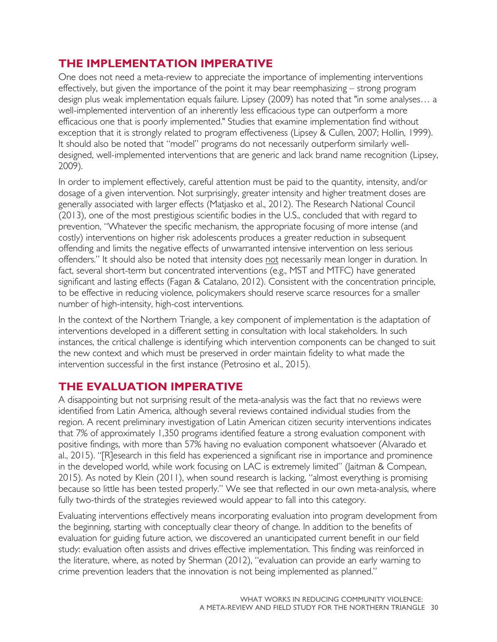## <span id="page-33-0"></span>**THE IMPLEMENTATION IMPERATIVE**

One does not need a meta-review to appreciate the importance of implementing interventions effectively, but given the importance of the point it may bear reemphasizing – strong program design plus weak implementation equals failure. Lipsey (2009) has noted that "in some analyses… a well-implemented intervention of an inherently less efficacious type can outperform a more efficacious one that is poorly implemented." Studies that examine implementation find without exception that it is strongly related to program effectiveness (Lipsey & Cullen, 2007; Hollin, 1999). It should also be noted that "model" programs do not necessarily outperform similarly welldesigned, well-implemented interventions that are generic and lack brand name recognition (Lipsey, 2009).

In order to implement effectively, careful attention must be paid to the quantity, intensity, and/or dosage of a given intervention. Not surprisingly, greater intensity and higher treatment doses are generally associated with larger effects (Matjasko et al., 2012). The Research National Council (2013), one of the most prestigious scientific bodies in the U.S., concluded that with regard to prevention, "Whatever the specific mechanism, the appropriate focusing of more intense (and costly) interventions on higher risk adolescents produces a greater reduction in subsequent offending and limits the negative effects of unwarranted intensive intervention on less serious offenders." It should also be noted that intensity does not necessarily mean longer in duration. In fact, several short-term but concentrated interventions (e.g., MST and MTFC) have generated significant and lasting effects (Fagan & Catalano, 2012). Consistent with the concentration principle, to be effective in reducing violence, policymakers should reserve scarce resources for a smaller number of high-intensity, high-cost interventions.

In the context of the Northern Triangle, a key component of implementation is the adaptation of interventions developed in a different setting in consultation with local stakeholders. In such instances, the critical challenge is identifying which intervention components can be changed to suit the new context and which must be preserved in order maintain fidelity to what made the intervention successful in the first instance (Petrosino et al., 2015).

## <span id="page-33-1"></span>**THE EVALUATION IMPERATIVE**

A disappointing but not surprising result of the meta-analysis was the fact that no reviews were identified from Latin America, although several reviews contained individual studies from the region. A recent preliminary investigation of Latin American citizen security interventions indicates that 7% of approximately 1,350 programs identified feature a strong evaluation component with positive findings, with more than 57% having no evaluation component whatsoever (Alvarado et al., 2015). "[R]esearch in this field has experienced a significant rise in importance and prominence in the developed world, while work focusing on LAC is extremely limited" (Jaitman & Compean, 2015). As noted by Klein (2011), when sound research is lacking, "almost everything is promising because so little has been tested properly." We see that reflected in our own meta-analysis, where fully two-thirds of the strategies reviewed would appear to fall into this category.

Evaluating interventions effectively means incorporating evaluation into program development from the beginning, starting with conceptually clear theory of change. In addition to the benefits of evaluation for guiding future action, we discovered an unanticipated current benefit in our field study: evaluation often assists and drives effective implementation. This finding was reinforced in the literature, where, as noted by Sherman (2012), "evaluation can provide an early warning to crime prevention leaders that the innovation is not being implemented as planned."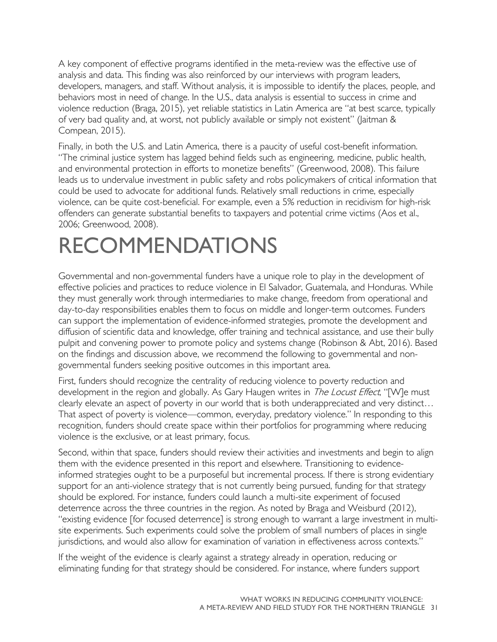A key component of effective programs identified in the meta-review was the effective use of analysis and data. This finding was also reinforced by our interviews with program leaders, developers, managers, and staff. Without analysis, it is impossible to identify the places, people, and behaviors most in need of change. In the U.S., data analysis is essential to success in crime and violence reduction (Braga, 2015), yet reliable statistics in Latin America are "at best scarce, typically of very bad quality and, at worst, not publicly available or simply not existent" (Jaitman & Compean, 2015).

Finally, in both the U.S. and Latin America, there is a paucity of useful cost-benefit information. "The criminal justice system has lagged behind fields such as engineering, medicine, public health, and environmental protection in efforts to monetize benefits" (Greenwood, 2008). This failure leads us to undervalue investment in public safety and robs policymakers of critical information that could be used to advocate for additional funds. Relatively small reductions in crime, especially violence, can be quite cost-beneficial. For example, even a 5% reduction in recidivism for high-risk offenders can generate substantial benefits to taxpayers and potential crime victims (Aos et al., 2006; Greenwood, 2008).

## <span id="page-34-0"></span>RECOMMENDATIONS

Governmental and non-governmental funders have a unique role to play in the development of effective policies and practices to reduce violence in El Salvador, Guatemala, and Honduras. While they must generally work through intermediaries to make change, freedom from operational and day-to-day responsibilities enables them to focus on middle and longer-term outcomes. Funders can support the implementation of evidence-informed strategies, promote the development and diffusion of scientific data and knowledge, offer training and technical assistance, and use their bully pulpit and convening power to promote policy and systems change (Robinson & Abt, 2016). Based on the findings and discussion above, we recommend the following to governmental and nongovernmental funders seeking positive outcomes in this important area.

First, funders should recognize the centrality of reducing violence to poverty reduction and development in the region and globally. As Gary Haugen writes in *The Locust Effect*, "[W]e must clearly elevate an aspect of poverty in our world that is both underappreciated and very distinct… That aspect of poverty is violence—common, everyday, predatory violence." In responding to this recognition, funders should create space within their portfolios for programming where reducing violence is the exclusive, or at least primary, focus.

Second, within that space, funders should review their activities and investments and begin to align them with the evidence presented in this report and elsewhere. Transitioning to evidenceinformed strategies ought to be a purposeful but incremental process. If there is strong evidentiary support for an anti-violence strategy that is not currently being pursued, funding for that strategy should be explored. For instance, funders could launch a multi-site experiment of focused deterrence across the three countries in the region. As noted by Braga and Weisburd (2012), "existing evidence [for focused deterrence] is strong enough to warrant a large investment in multisite experiments. Such experiments could solve the problem of small numbers of places in single jurisdictions, and would also allow for examination of variation in effectiveness across contexts."

If the weight of the evidence is clearly against a strategy already in operation, reducing or eliminating funding for that strategy should be considered. For instance, where funders support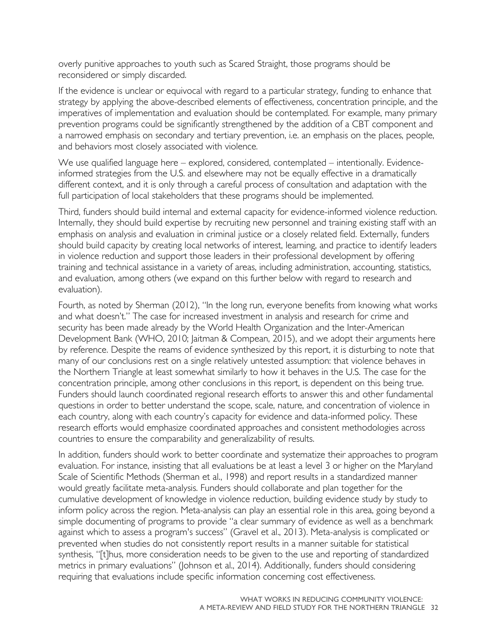overly punitive approaches to youth such as Scared Straight, those programs should be reconsidered or simply discarded.

If the evidence is unclear or equivocal with regard to a particular strategy, funding to enhance that strategy by applying the above-described elements of effectiveness, concentration principle, and the imperatives of implementation and evaluation should be contemplated. For example, many primary prevention programs could be significantly strengthened by the addition of a CBT component and a narrowed emphasis on secondary and tertiary prevention, i.e. an emphasis on the places, people, and behaviors most closely associated with violence.

We use qualified language here – explored, considered, contemplated – intentionally. Evidenceinformed strategies from the U.S. and elsewhere may not be equally effective in a dramatically different context, and it is only through a careful process of consultation and adaptation with the full participation of local stakeholders that these programs should be implemented.

Third, funders should build internal and external capacity for evidence-informed violence reduction. Internally, they should build expertise by recruiting new personnel and training existing staff with an emphasis on analysis and evaluation in criminal justice or a closely related field. Externally, funders should build capacity by creating local networks of interest, learning, and practice to identify leaders in violence reduction and support those leaders in their professional development by offering training and technical assistance in a variety of areas, including administration, accounting, statistics, and evaluation, among others (we expand on this further below with regard to research and evaluation).

Fourth, as noted by Sherman (2012), "In the long run, everyone benefits from knowing what works and what doesn't." The case for increased investment in analysis and research for crime and security has been made already by the World Health Organization and the Inter-American Development Bank (WHO, 2010; Jaitman & Compean, 2015), and we adopt their arguments here by reference. Despite the reams of evidence synthesized by this report, it is disturbing to note that many of our conclusions rest on a single relatively untested assumption: that violence behaves in the Northern Triangle at least somewhat similarly to how it behaves in the U.S. The case for the concentration principle, among other conclusions in this report, is dependent on this being true. Funders should launch coordinated regional research efforts to answer this and other fundamental questions in order to better understand the scope, scale, nature, and concentration of violence in each country, along with each country's capacity for evidence and data-informed policy. These research efforts would emphasize coordinated approaches and consistent methodologies across countries to ensure the comparability and generalizability of results.

In addition, funders should work to better coordinate and systematize their approaches to program evaluation. For instance, insisting that all evaluations be at least a level 3 or higher on the Maryland Scale of Scientific Methods (Sherman et al., 1998) and report results in a standardized manner would greatly facilitate meta-analysis. Funders should collaborate and plan together for the cumulative development of knowledge in violence reduction, building evidence study by study to inform policy across the region. Meta-analysis can play an essential role in this area, going beyond a simple documenting of programs to provide "a clear summary of evidence as well as a benchmark against which to assess a program's success" (Gravel et al., 2013). Meta-analysis is complicated or prevented when studies do not consistently report results in a manner suitable for statistical synthesis, "[t]hus, more consideration needs to be given to the use and reporting of standardized metrics in primary evaluations" (Johnson et al., 2014). Additionally, funders should considering requiring that evaluations include specific information concerning cost effectiveness.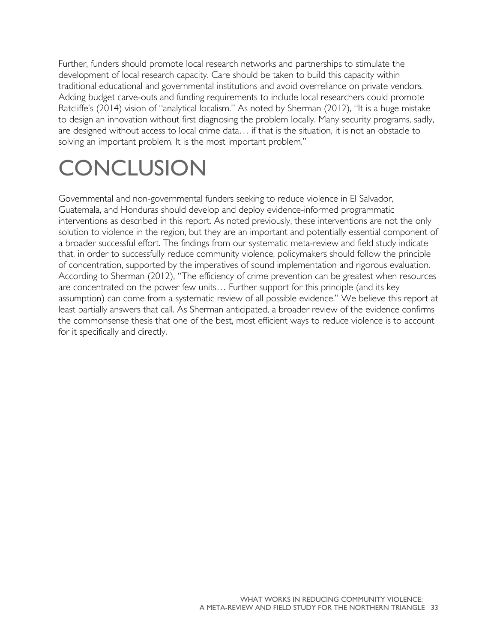Further, funders should promote local research networks and partnerships to stimulate the development of local research capacity. Care should be taken to build this capacity within traditional educational and governmental institutions and avoid overreliance on private vendors. Adding budget carve-outs and funding requirements to include local researchers could promote Ratcliffe's (2014) vision of "analytical localism." As noted by Sherman (2012), "It is a huge mistake to design an innovation without first diagnosing the problem locally. Many security programs, sadly, are designed without access to local crime data… if that is the situation, it is not an obstacle to solving an important problem. It is the most important problem."

## <span id="page-36-0"></span>**CONCLUSION**

Governmental and non-governmental funders seeking to reduce violence in El Salvador, Guatemala, and Honduras should develop and deploy evidence-informed programmatic interventions as described in this report. As noted previously, these interventions are not the only solution to violence in the region, but they are an important and potentially essential component of a broader successful effort. The findings from our systematic meta-review and field study indicate that, in order to successfully reduce community violence, policymakers should follow the principle of concentration, supported by the imperatives of sound implementation and rigorous evaluation. According to Sherman (2012), "The efficiency of crime prevention can be greatest when resources are concentrated on the power few units… Further support for this principle (and its key assumption) can come from a systematic review of all possible evidence." We believe this report at least partially answers that call. As Sherman anticipated, a broader review of the evidence confirms the commonsense thesis that one of the best, most efficient ways to reduce violence is to account for it specifically and directly.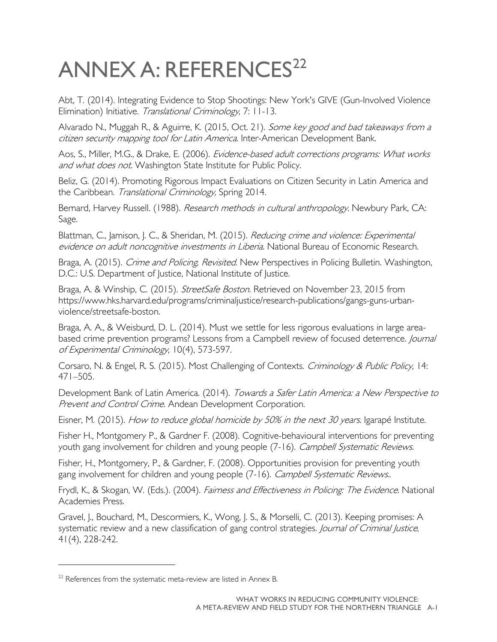# <span id="page-37-0"></span>ANNEX A: REFERENCES<sup>[22](#page-37-1)</sup>

Abt, T. (2014). Integrating Evidence to Stop Shootings: New York's GIVE (Gun-Involved Violence Elimination) Initiative. Translational Criminology, 7: 11-13.

Alvarado N., Muggah R., & Aguirre, K. (2015, Oct. 21). Some key good and bad takeaways from a citizen security mapping tool for Latin America. Inter-American Development Bank.

Aos, S., Miller, M.G., & Drake, E. (2006). *Evidence-based adult corrections programs: What works* and what does not. Washington State Institute for Public Policy.

Beliz, G. (2014). Promoting Rigorous Impact Evaluations on Citizen Security in Latin America and the Caribbean. Translational Criminology, Spring 2014.

Bernard, Harvey Russell. (1988). *Research methods in cultural anthropology*. Newbury Park, CA: Sage.

Blattman, C., Jamison, J. C., & Sheridan, M. (2015). *Reducing crime and violence: Experimental* evidence on adult noncognitive investments in Liberia. National Bureau of Economic Research.

Braga, A. (2015). Crime and Policing, Revisited. New Perspectives in Policing Bulletin. Washington, D.C.: U.S. Department of Justice, National Institute of Justice.

Braga, A. & Winship, C. (2015). StreetSafe Boston. Retrieved on November 23, 2015 from https://www.hks.harvard.edu/programs/criminaljustice/research-publications/gangs-guns-urbanviolence/streetsafe-boston.

Braga, A. A., & Weisburd, D. L. (2014). Must we settle for less rigorous evaluations in large areabased crime prevention programs? Lessons from a Campbell review of focused deterrence. Journal of Experimental Criminology, 10(4), 573-597.

Corsaro, N. & Engel, R. S. (2015). Most Challenging of Contexts. Criminology & Public Policy, 14: 471–505.

Development Bank of Latin America. (2014). Towards a Safer Latin America: a New Perspective to Prevent and Control Crime. Andean Development Corporation.

Eisner, M. (2015). How to reduce global homicide by 50% in the next 30 years. Igarapé Institute.

Fisher H., Montgomery P., & Gardner F. (2008). Cognitive-behavioural interventions for preventing youth gang involvement for children and young people (7-16). Campbell Systematic Reviews.

Fisher, H., Montgomery, P., & Gardner, F. (2008). Opportunities provision for preventing youth gang involvement for children and young people (7-16). Campbell Systematic Reviews..

Frydl, K., & Skogan, W. (Eds.). (2004). Fairness and Effectiveness in Policing: The Evidence. National Academies Press.

Gravel, J., Bouchard, M., Descormiers, K., Wong, J. S., & Morselli, C. (2013). Keeping promises: A systematic review and a new classification of gang control strategies. *Journal of Criminal Justice*, 41(4), 228-242.

 $\overline{a}$ 

<span id="page-37-1"></span> $22$  References from the systematic meta-review are listed in Annex B.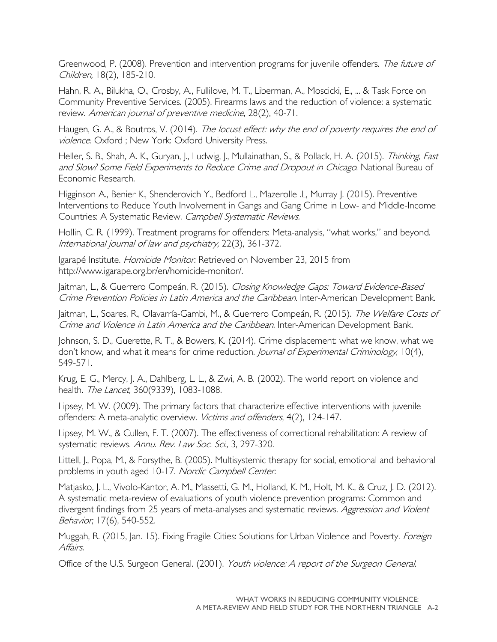Greenwood, P. (2008). Prevention and intervention programs for juvenile offenders. The future of Children, 18(2), 185-210.

Hahn, R. A., Bilukha, O., Crosby, A., Fullilove, M. T., Liberman, A., Moscicki, E., ... & Task Force on Community Preventive Services. (2005). Firearms laws and the reduction of violence: a systematic review. American journal of preventive medicine, 28(2), 40-71.

Haugen, G. A., & Boutros, V. (2014). The locust effect: why the end of poverty requires the end of violence. Oxford ; New York: Oxford University Press.

Heller, S. B., Shah, A. K., Guryan, J., Ludwig, J., Mullainathan, S., & Pollack, H. A. (2015). Thinking, Fast and Slow? Some Field Experiments to Reduce Crime and Dropout in Chicago. National Bureau of Economic Research.

Higginson A., Benier K., Shenderovich Y., Bedford L., Mazerolle .L, Murray J. (2015). Preventive Interventions to Reduce Youth Involvement in Gangs and Gang Crime in Low- and Middle-Income Countries: A Systematic Review. Campbell Systematic Reviews.

Hollin, C. R. (1999). Treatment programs for offenders: Meta-analysis, "what works," and beyond. International journal of law and psychiatry, 22(3), 361-372.

Igarapé Institute. Homicide Monitor. Retrieved on November 23, 2015 from http://www.igarape.org.br/en/homicide-monitor/.

Jaitman, L., & Guerrero Compeán, R. (2015). Closing Knowledge Gaps: Toward Evidence-Based Crime Prevention Policies in Latin America and the Caribbean. Inter-American Development Bank.

Jaitman, L., Soares, R., Olavarría-Gambi, M., & Guerrero Compeán, R. (2015). The Welfare Costs of Crime and Violence in Latin America and the Caribbean. Inter-American Development Bank.

Johnson, S. D., Guerette, R. T., & Bowers, K. (2014). Crime displacement: what we know, what we don't know, and what it means for crime reduction. Journal of Experimental Criminology, 10(4), 549-571.

Krug, E. G., Mercy, J. A., Dahlberg, L. L., & Zwi, A. B. (2002). The world report on violence and health. The Lancet, 360(9339), 1083-1088.

Lipsey, M. W. (2009). The primary factors that characterize effective interventions with juvenile offenders: A meta-analytic overview. Victims and offenders, 4(2), 124-147.

Lipsey, M. W., & Cullen, F. T. (2007). The effectiveness of correctional rehabilitation: A review of systematic reviews. Annu. Rev. Law Soc. Sci., 3, 297-320.

Littell, J., Popa, M., & Forsythe, B. (2005). Multisystemic therapy for social, emotional and behavioral problems in youth aged 10-17. Nordic Campbell Center.

Matjasko, J. L., Vivolo-Kantor, A. M., Massetti, G. M., Holland, K. M., Holt, M. K., & Cruz, J. D. (2012). A systematic meta-review of evaluations of youth violence prevention programs: Common and divergent findings from 25 years of meta-analyses and systematic reviews. Aggression and Violent Behavior, 17(6), 540-552.

Muggah, R. (2015, Jan. 15). Fixing Fragile Cities: Solutions for Urban Violence and Poverty. *Foreign* Affairs.

Office of the U.S. Surgeon General. (2001). Youth violence: A report of the Surgeon General.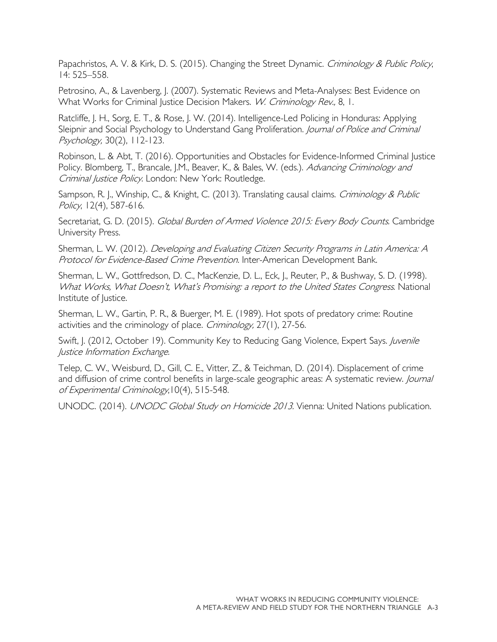Papachristos, A. V. & Kirk, D. S. (2015). Changing the Street Dynamic. Criminology & Public Policy, 14: 525–558.

Petrosino, A., & Lavenberg, J. (2007). Systematic Reviews and Meta-Analyses: Best Evidence on What Works for Criminal Justice Decision Makers. W. Criminology Rev., 8, 1.

Ratcliffe, J. H., Sorg, E. T., & Rose, J. W. (2014). Intelligence-Led Policing in Honduras: Applying Sleipnir and Social Psychology to Understand Gang Proliferation. Journal of Police and Criminal Psychology, 30(2), 112-123.

Robinson, L. & Abt, T. (2016). Opportunities and Obstacles for Evidence-Informed Criminal Justice Policy. Blomberg, T., Brancale, J.M., Beaver, K., & Bales, W. (eds.). Advancing Criminology and Criminal Justice Policy. London: New York: Routledge.

Sampson, R. J., Winship, C., & Knight, C. (2013). Translating causal claims. *Criminology & Public* Policy, 12(4), 587-616.

Secretariat, G. D. (2015). Global Burden of Armed Violence 2015: Every Body Counts. Cambridge University Press.

Sherman, L. W. (2012). Developing and Evaluating Citizen Security Programs in Latin America: A Protocol for Evidence-Based Crime Prevention. Inter-American Development Bank.

Sherman, L. W., Gottfredson, D. C., MacKenzie, D. L., Eck, J., Reuter, P., & Bushway, S. D. (1998). What Works, What Doesn't, What's Promising: a report to the United States Congress. National Institute of Justice.

Sherman, L. W., Gartin, P. R., & Buerger, M. E. (1989). Hot spots of predatory crime: Routine activities and the criminology of place. Criminology, 27(1), 27-56.

Swift, J. (2012, October 19). Community Key to Reducing Gang Violence, Expert Says. Juvenile Justice Information Exchange.

Telep, C. W., Weisburd, D., Gill, C. E., Vitter, Z., & Teichman, D. (2014). Displacement of crime and diffusion of crime control benefits in large-scale geographic areas: A systematic review. *Journal* of Experimental Criminology,10(4), 515-548.

UNODC. (2014). UNODC Global Study on Homicide 2013. Vienna: United Nations publication.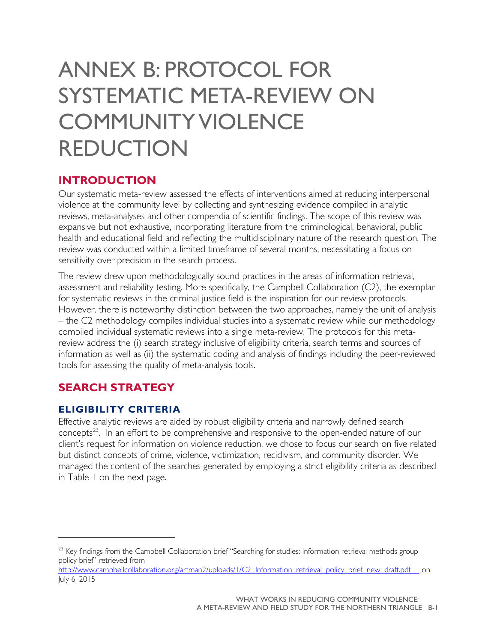## <span id="page-40-0"></span>ANNEX B: PROTOCOL FOR SYSTEMATIC META-REVIEW ON COMMUNITY VIOLENCE REDUCTION

#### **INTRODUCTION**

Our systematic meta-review assessed the effects of interventions aimed at reducing interpersonal violence at the community level by collecting and synthesizing evidence compiled in analytic reviews, meta-analyses and other compendia of scientific findings. The scope of this review was expansive but not exhaustive, incorporating literature from the criminological, behavioral, public health and educational field and reflecting the multidisciplinary nature of the research question. The review was conducted within a limited timeframe of several months, necessitating a focus on sensitivity over precision in the search process.

The review drew upon methodologically sound practices in the areas of information retrieval, assessment and reliability testing. More specifically, the Campbell Collaboration (C2), the exemplar for systematic reviews in the criminal justice field is the inspiration for our review protocols. However, there is noteworthy distinction between the two approaches, namely the unit of analysis – the C2 methodology compiles individual studies into a systematic review while our methodology compiled individual systematic reviews into a single meta-review. The protocols for this metareview address the (i) search strategy inclusive of eligibility criteria, search terms and sources of information as well as (ii) the systematic coding and analysis of findings including the peer-reviewed tools for assessing the quality of meta-analysis tools.

### **SEARCH STRATEGY**

#### **ELIGIBILITY CRITERIA**

 $\overline{a}$ 

Effective analytic reviews are aided by robust eligibility criteria and narrowly defined search concepts $^{23}$ . In an effort to be comprehensive and responsive to the open-ended nature of our client's request for information on violence reduction, we chose to focus our search on five related but distinct concepts of crime, violence, victimization, recidivism, and community disorder. We managed the content of the searches generated by employing a strict eligibility criteria as described in Table 1 on the next page.

[http://www.campbellcollaboration.org/artman2/uploads/1/C2\\_Information\\_retrieval\\_policy\\_brief\\_new\\_draft.pdf](http://www.campbellcollaboration.org/artman2/uploads/1/C2_Information_retrieval_policy_brief_new_draft.pdf) \_\_ on July 6, 2015

<span id="page-40-1"></span><sup>&</sup>lt;sup>23</sup> Key findings from the Campbell Collaboration brief "Searching for studies: Information retrieval methods group policy brief" retrieved from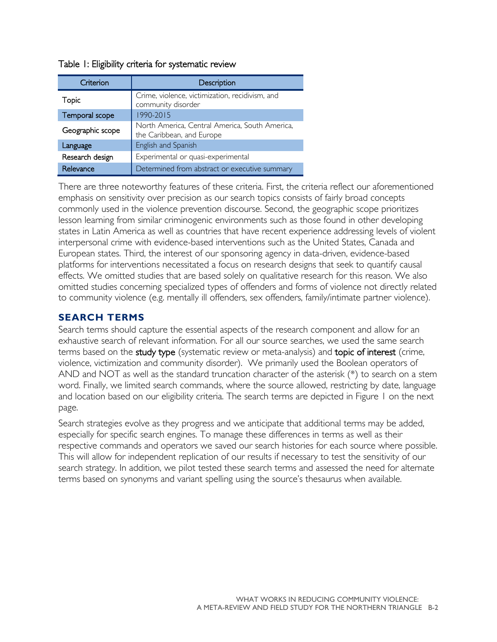|  |  |  |  | Table 1: Eligibility criteria for systematic review |  |
|--|--|--|--|-----------------------------------------------------|--|
|--|--|--|--|-----------------------------------------------------|--|

| Criterion        | Description                                                                 |
|------------------|-----------------------------------------------------------------------------|
| Topic            | Crime, violence, victimization, recidivism, and<br>community disorder       |
| Temporal scope   | 1990-2015                                                                   |
| Geographic scope | North America, Central America, South America,<br>the Caribbean, and Europe |
| Language         | English and Spanish                                                         |
| Research design  | Experimental or quasi-experimental                                          |
| Relevance        | Determined from abstract or executive summary                               |

There are three noteworthy features of these criteria. First, the criteria reflect our aforementioned emphasis on sensitivity over precision as our search topics consists of fairly broad concepts commonly used in the violence prevention discourse. Second, the geographic scope prioritizes lesson learning from similar criminogenic environments such as those found in other developing states in Latin America as well as countries that have recent experience addressing levels of violent interpersonal crime with evidence-based interventions such as the United States, Canada and European states. Third, the interest of our sponsoring agency in data-driven, evidence-based platforms for interventions necessitated a focus on research designs that seek to quantify causal effects. We omitted studies that are based solely on qualitative research for this reason. We also omitted studies concerning specialized types of offenders and forms of violence not directly related to community violence (e.g. mentally ill offenders, sex offenders, family/intimate partner violence).

#### **SEARCH TERMS**

Search terms should capture the essential aspects of the research component and allow for an exhaustive search of relevant information. For all our source searches, we used the same search terms based on the study type (systematic review or meta-analysis) and topic of interest (crime, violence, victimization and community disorder). We primarily used the Boolean operators of AND and NOT as well as the standard truncation character of the asterisk (\*) to search on a stem word. Finally, we limited search commands, where the source allowed, restricting by date, language and location based on our eligibility criteria. The search terms are depicted in Figure 1 on the next page.

Search strategies evolve as they progress and we anticipate that additional terms may be added, especially for specific search engines. To manage these differences in terms as well as their respective commands and operators we saved our search histories for each source where possible. This will allow for independent replication of our results if necessary to test the sensitivity of our search strategy. In addition, we pilot tested these search terms and assessed the need for alternate terms based on synonyms and variant spelling using the source's thesaurus when available.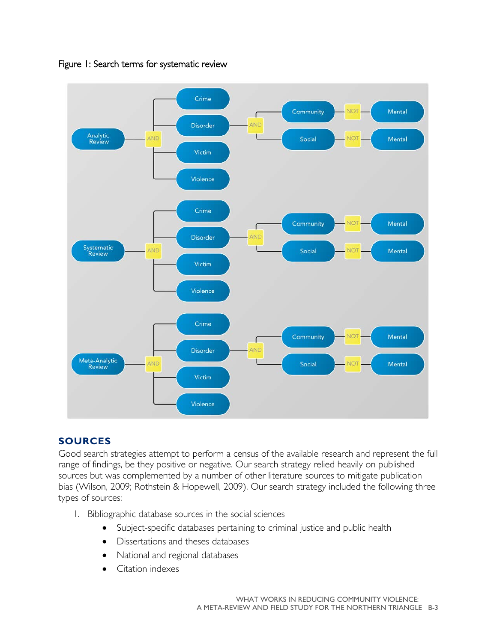

Figure 1: Search terms for systematic review

#### **SOURCES**

Good search strategies attempt to perform a census of the available research and represent the full range of findings, be they positive or negative. Our search strategy relied heavily on published sources but was complemented by a number of other literature sources to mitigate publication bias (Wilson, 2009; Rothstein & Hopewell, 2009). Our search strategy included the following three types of sources:

- 1. Bibliographic database sources in the social sciences
	- Subject-specific databases pertaining to criminal justice and public health
	- Dissertations and theses databases
	- National and regional databases
	- Citation indexes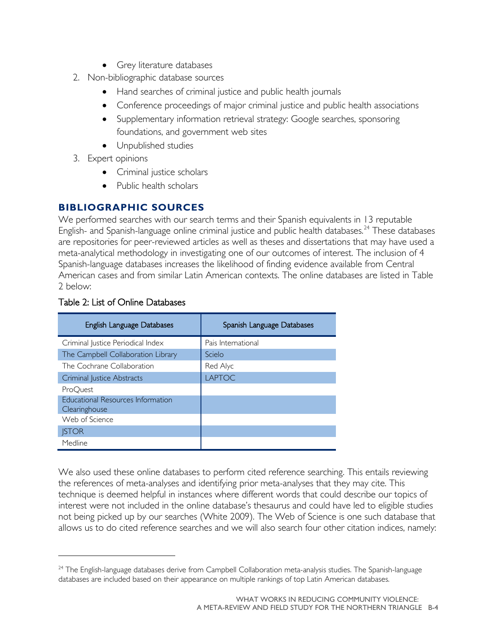- Grey literature databases
- 2. Non-bibliographic database sources
	- Hand searches of criminal justice and public health journals
	- Conference proceedings of major criminal justice and public health associations
	- Supplementary information retrieval strategy: Google searches, sponsoring foundations, and government web sites
	- Unpublished studies
- 3. Expert opinions
	- Criminal justice scholars
	- Public health scholars

#### **BIBLIOGRAPHIC SOURCES**

We performed searches with our search terms and their Spanish equivalents in 13 reputable English- and Spanish-language online criminal justice and public health databases.<sup>[24](#page-43-0)</sup> These databases are repositories for peer-reviewed articles as well as theses and dissertations that may have used a meta-analytical methodology in investigating one of our outcomes of interest. The inclusion of 4 Spanish-language databases increases the likelihood of finding evidence available from Central American cases and from similar Latin American contexts. The online databases are listed in Table 2 below:

| English Language Databases               | Spanish Language Databases |
|------------------------------------------|----------------------------|
| Criminal Justice Periodical Index        | Pais International         |
| The Campbell Collaboration Library       | Scielo                     |
| The Cochrane Collaboration               | Red Alyc                   |
| Criminal Justice Abstracts               | <b>LAPTOC</b>              |
| ProOuest                                 |                            |
| <b>Educational Resources Information</b> |                            |
| Clearinghouse                            |                            |
| Web of Science                           |                            |
| <b>ISTOR</b>                             |                            |
| Medline                                  |                            |

#### Table 2: List of Online Databases

 $\overline{a}$ 

We also used these online databases to perform cited reference searching. This entails reviewing the references of meta-analyses and identifying prior meta-analyses that they may cite. This technique is deemed helpful in instances where different words that could describe our topics of interest were not included in the online database's thesaurus and could have led to eligible studies not being picked up by our searches (White 2009). The Web of Science is one such database that allows us to do cited reference searches and we will also search four other citation indices, namely:

<span id="page-43-0"></span><sup>&</sup>lt;sup>24</sup> The English-language databases derive from Campbell Collaboration meta-analysis studies. The Spanish-language databases are included based on their appearance on multiple rankings of top Latin American databases.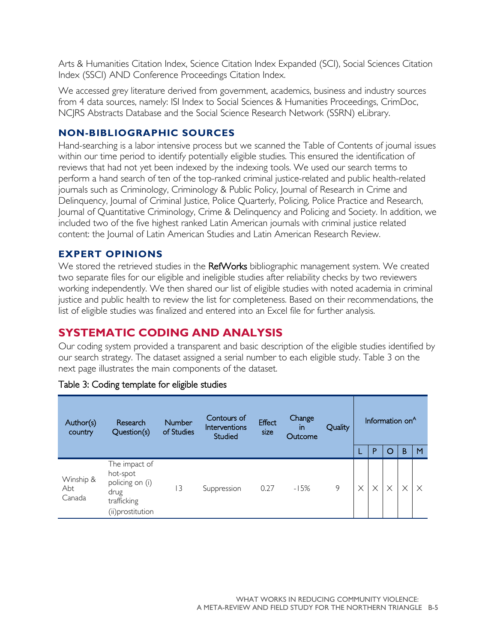Arts & Humanities Citation Index, Science Citation Index Expanded (SCI), Social Sciences Citation Index (SSCI) AND Conference Proceedings Citation Index.

We accessed grey literature derived from government, academics, business and industry sources from 4 data sources, namely: ISI Index to Social Sciences & Humanities Proceedings, CrimDoc, NCJRS Abstracts Database and the Social Science Research Network (SSRN) eLibrary.

#### **NON-BIBLIOGRAPHIC SOURCES**

Hand-searching is a labor intensive process but we scanned the Table of Contents of journal issues within our time period to identify potentially eligible studies. This ensured the identification of reviews that had not yet been indexed by the indexing tools. We used our search terms to perform a hand search of ten of the top-ranked criminal justice-related and public health-related journals such as Criminology, Criminology & Public Policy, Journal of Research in Crime and Delinquency, Journal of Criminal Justice, Police Quarterly, Policing, Police Practice and Research, Journal of Quantitative Criminology, Crime & Delinquency and Policing and Society. In addition, we included two of the five highest ranked Latin American journals with criminal justice related content: the Journal of Latin American Studies and Latin American Research Review.

#### **EXPERT OPINIONS**

We stored the retrieved studies in the RefWorks bibliographic management system. We created two separate files for our eligible and ineligible studies after reliability checks by two reviewers working independently. We then shared our list of eligible studies with noted academia in criminal justice and public health to review the list for completeness. Based on their recommendations, the list of eligible studies was finalized and entered into an Excel file for further analysis.

### **SYSTEMATIC CODING AND ANALYSIS**

Our coding system provided a transparent and basic description of the eligible studies identified by our search strategy. The dataset assigned a serial number to each eligible study. Table 3 on the next page illustrates the main components of the dataset.

| Author(s)<br>country       | Research<br>Question(s)                                                                 | <b>Number</b><br>of Studies | Contours of<br>Interventions<br>Studied | <b>Effect</b><br>size | Change<br>in.<br>Outcome | Quality |          | P        | Information on <sup>A</sup><br>O | B | M |
|----------------------------|-----------------------------------------------------------------------------------------|-----------------------------|-----------------------------------------|-----------------------|--------------------------|---------|----------|----------|----------------------------------|---|---|
| Winship &<br>Abt<br>Canada | The impact of<br>hot-spot<br>policing on (i)<br>drug<br>trafficking<br>(ii)prostitution | 13                          | Suppression                             | 0.27                  | $-15%$                   | 9       | $\times$ | $\times$ | $\times$                         | Χ |   |

#### Table 3: Coding template for eligible studies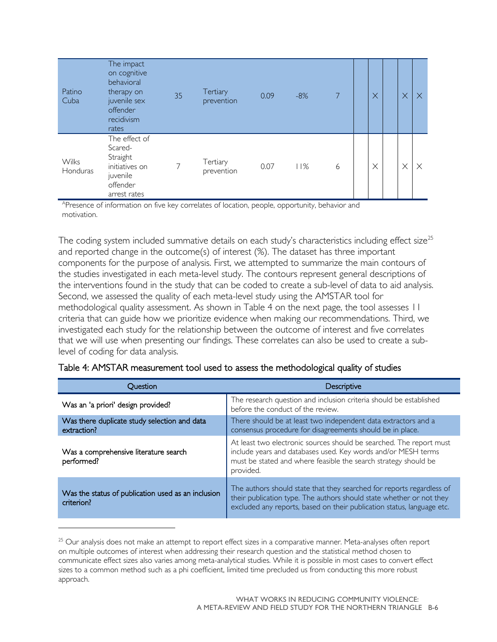| Patino<br>Cuba           | The impact<br>on cognitive<br>behavioral<br>therapy on<br>juvenile sex<br>offender<br>recidivism<br>rates | 35 | Tertiary<br>prevention | 0.09 | $-8%$ | 7 | $\times$ | $\times$ | $\times$ |
|--------------------------|-----------------------------------------------------------------------------------------------------------|----|------------------------|------|-------|---|----------|----------|----------|
| <b>Wilks</b><br>Honduras | The effect of<br>Scared-<br>Straight<br>initiatives on<br>juvenile<br>offender<br>arrest rates            | 7  | Tertiary<br>prevention | 0.07 | 11%   | 6 | $\times$ | $\times$ | $\times$ |

<sup>A</sup>Presence of information on five key correlates of location, people, opportunity, behavior and motivation.

The coding system included summative details on each study's characteristics including effect size<sup>[25](#page-45-0)</sup> and reported change in the outcome(s) of interest (%). The dataset has three important components for the purpose of analysis. First, we attempted to summarize the main contours of the studies investigated in each meta-level study. The contours represent general descriptions of the interventions found in the study that can be coded to create a sub-level of data to aid analysis. Second, we assessed the quality of each meta-level study using the AMSTAR tool for methodological quality assessment. As shown in Table 4 on the next page, the tool assesses 11 criteria that can guide how we prioritize evidence when making our recommendations. Third, we investigated each study for the relationship between the outcome of interest and five correlates that we will use when presenting our findings. These correlates can also be used to create a sublevel of coding for data analysis.

| Ouestion                                                         | Descriptive                                                                                                                                                                                                             |  |  |  |  |
|------------------------------------------------------------------|-------------------------------------------------------------------------------------------------------------------------------------------------------------------------------------------------------------------------|--|--|--|--|
| Was an 'a priori' design provided?                               | The research question and inclusion criteria should be established<br>before the conduct of the review.                                                                                                                 |  |  |  |  |
| Was there duplicate study selection and data<br>extraction?      | There should be at least two independent data extractors and a<br>consensus procedure for disagreements should be in place.                                                                                             |  |  |  |  |
| Was a comprehensive literature search<br>performed?              | At least two electronic sources should be searched. The report must<br>include years and databases used. Key words and/or MESH terms<br>must be stated and where feasible the search strategy should be<br>provided.    |  |  |  |  |
| Was the status of publication used as an inclusion<br>criterion? | The authors should state that they searched for reports regardless of<br>their publication type. The authors should state whether or not they<br>excluded any reports, based on their publication status, language etc. |  |  |  |  |

| Table 4: AMSTAR measurement tool used to assess the methodological quality of studies |
|---------------------------------------------------------------------------------------|
|---------------------------------------------------------------------------------------|

 $\overline{a}$ 

<span id="page-45-0"></span><sup>&</sup>lt;sup>25</sup> Our analysis does not make an attempt to report effect sizes in a comparative manner. Meta-analyses often report on multiple outcomes of interest when addressing their research question and the statistical method chosen to communicate effect sizes also varies among meta-analytical studies. While it is possible in most cases to convert effect sizes to a common method such as a phi coefficient, limited time precluded us from conducting this more robust approach.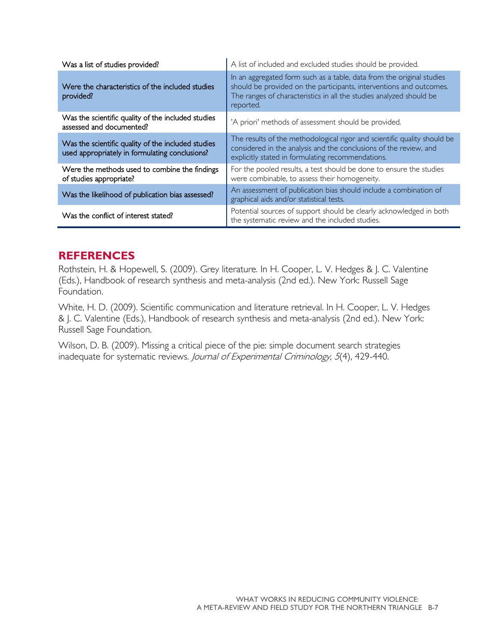| Was a list of studies provided?                                                                      | A list of included and excluded studies should be provided.                                                                                                                                                                      |  |  |  |  |
|------------------------------------------------------------------------------------------------------|----------------------------------------------------------------------------------------------------------------------------------------------------------------------------------------------------------------------------------|--|--|--|--|
| Were the characteristics of the included studies<br>provided?                                        | In an aggregated form such as a table, data from the original studies<br>should be provided on the participants, interventions and outcomes.<br>The ranges of characteristics in all the studies analyzed should be<br>reported. |  |  |  |  |
| Was the scientific quality of the included studies<br>assessed and documented?                       | 'A priori' methods of assessment should be provided.                                                                                                                                                                             |  |  |  |  |
| Was the scientific quality of the included studies<br>used appropriately in formulating conclusions? | The results of the methodological rigor and scientific quality should be<br>considered in the analysis and the conclusions of the review, and<br>explicitly stated in formulating recommendations.                               |  |  |  |  |
| Were the methods used to combine the findings<br>of studies appropriate?                             | For the pooled results, a test should be done to ensure the studies<br>were combinable, to assess their homogeneity.                                                                                                             |  |  |  |  |
| Was the likelihood of publication bias assessed?                                                     | An assessment of publication bias should include a combination of<br>graphical aids and/or statistical tests.                                                                                                                    |  |  |  |  |
| Was the conflict of interest stated?                                                                 | Potential sources of support should be clearly acknowledged in both<br>the systematic review and the included studies.                                                                                                           |  |  |  |  |

#### **REFERENCES**

Rothstein, H. & Hopewell, S. (2009). Grey literature. In H. Cooper, L. V. Hedges & J. C. Valentine (Eds.), Handbook of research synthesis and meta-analysis (2nd ed.). New York: Russell Sage Foundation.

White, H. D. (2009). Scientific communication and literature retrieval. In H. Cooper, L. V. Hedges & J. C. Valentine (Eds.), Handbook of research synthesis and meta-analysis (2nd ed.). New York: Russell Sage Foundation.

Wilson, D. B. (2009). Missing a critical piece of the pie: simple document search strategies inadequate for systematic reviews. Journal of Experimental Criminology, 5(4), 429-440.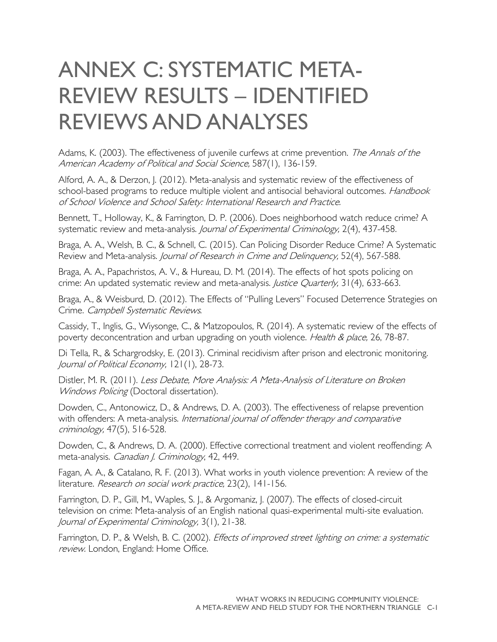## <span id="page-47-0"></span>ANNEX C: SYSTEMATIC META-REVIEW RESULTS – IDENTIFIED REVIEWS AND ANALYSES

Adams, K. (2003). The effectiveness of juvenile curfews at crime prevention. The Annals of the American Academy of Political and Social Science, 587(1), 136-159.

Alford, A. A., & Derzon, J. (2012). Meta-analysis and systematic review of the effectiveness of school-based programs to reduce multiple violent and antisocial behavioral outcomes. Handbook of School Violence and School Safety: International Research and Practice.

Bennett, T., Holloway, K., & Farrington, D. P. (2006). Does neighborhood watch reduce crime? A systematic review and meta-analysis. Journal of Experimental Criminology, 2(4), 437-458.

Braga, A. A., Welsh, B. C., & Schnell, C. (2015). Can Policing Disorder Reduce Crime? A Systematic Review and Meta-analysis. Journal of Research in Crime and Delinquency, 52(4), 567-588.

Braga, A. A., Papachristos, A. V., & Hureau, D. M. (2014). The effects of hot spots policing on crime: An updated systematic review and meta-analysis. Justice Quarterly, 31(4), 633-663.

Braga, A., & Weisburd, D. (2012). The Effects of "Pulling Levers" Focused Deterrence Strategies on Crime. Campbell Systematic Reviews.

Cassidy, T., Inglis, G., Wiysonge, C., & Matzopoulos, R. (2014). A systematic review of the effects of poverty deconcentration and urban upgrading on youth violence. Health & place, 26, 78-87.

Di Tella, R., & Schargrodsky, E. (2013). Criminal recidivism after prison and electronic monitoring. Journal of Political Economy, 121(1), 28-73.

Distler, M. R. (2011). Less Debate, More Analysis: A Meta-Analysis of Literature on Broken Windows Policing (Doctoral dissertation).

Dowden, C., Antonowicz, D., & Andrews, D. A. (2003). The effectiveness of relapse prevention with offenders: A meta-analysis. International journal of offender therapy and comparative criminology, 47(5), 516-528.

Dowden, C., & Andrews, D. A. (2000). Effective correctional treatment and violent reoffending: A meta-analysis. Canadian J. Criminology, 42, 449.

Fagan, A. A., & Catalano, R. F. (2013). What works in youth violence prevention: A review of the literature. Research on social work practice, 23(2), 141-156.

Farrington, D. P., Gill, M., Waples, S. J., & Argomaniz, J. (2007). The effects of closed-circuit television on crime: Meta-analysis of an English national quasi-experimental multi-site evaluation. Journal of Experimental Criminology, 3(1), 21-38.

Farrington, D. P., & Welsh, B. C. (2002). *Effects of improved street lighting on crime: a systematic* review. London, England: Home Office.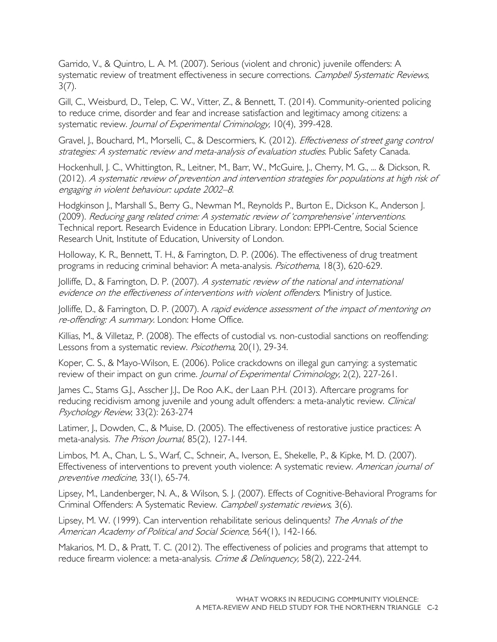Garrido, V., & Quintro, L. A. M. (2007). Serious (violent and chronic) juvenile offenders: A systematic review of treatment effectiveness in secure corrections. Campbell Systematic Reviews,  $3(7)$ .

Gill, C., Weisburd, D., Telep, C. W., Vitter, Z., & Bennett, T. (2014). Community-oriented policing to reduce crime, disorder and fear and increase satisfaction and legitimacy among citizens: a systematic review. Journal of Experimental Criminology, 10(4), 399-428.

Gravel, J., Bouchard, M., Morselli, C., & Descormiers, K. (2012). *Effectiveness of street gang control* strategies: A systematic review and meta-analysis of evaluation studies. Public Safety Canada.

Hockenhull, J. C., Whittington, R., Leitner, M., Barr, W., McGuire, J., Cherry, M. G., ... & Dickson, R. (2012). A systematic review of prevention and intervention strategies for populations at high risk of engaging in violent behaviour: update 2002–8.

Hodgkinson J., Marshall S., Berry G., Newman M., Reynolds P., Burton E., Dickson K., Anderson J. (2009). Reducing gang related crime: A systematic review of 'comprehensive' interventions. Technical report. Research Evidence in Education Library. London: EPPI-Centre, Social Science Research Unit, Institute of Education, University of London.

Holloway, K. R., Bennett, T. H., & Farrington, D. P. (2006). The effectiveness of drug treatment programs in reducing criminal behavior: A meta-analysis. Psicothema, 18(3), 620-629.

Jolliffe, D., & Farrington, D. P. (2007). A systematic review of the national and international evidence on the effectiveness of interventions with violent offenders. Ministry of Justice.

Jolliffe, D., & Farrington, D. P. (2007). A rapid evidence assessment of the impact of mentoring on re-offending: A summary. London: Home Office.

Killias, M., & Villetaz, P. (2008). The effects of custodial vs. non-custodial sanctions on reoffending: Lessons from a systematic review. Psicothema, 20(1), 29-34.

Koper, C. S., & Mayo-Wilson, E. (2006). Police crackdowns on illegal gun carrying: a systematic review of their impact on gun crime. Journal of Experimental Criminology, 2(2), 227-261.

James C., Stams G.J., Asscher J.J., De Roo A.K., der Laan P.H. (2013). Aftercare programs for reducing recidivism among juvenile and young adult offenders: a meta-analytic review. Clinical Psychology Review; 33(2): 263-274

Latimer, J., Dowden, C., & Muise, D. (2005). The effectiveness of restorative justice practices: A meta-analysis. The Prison Journal, 85(2), 127-144.

Limbos, M. A., Chan, L. S., Warf, C., Schneir, A., Iverson, E., Shekelle, P., & Kipke, M. D. (2007). Effectiveness of interventions to prevent youth violence: A systematic review. American journal of preventive medicine, 33(1), 65-74.

Lipsey, M., Landenberger, N. A., & Wilson, S. J. (2007). Effects of Cognitive-Behavioral Programs for Criminal Offenders: A Systematic Review. Campbell systematic reviews, 3(6).

Lipsey, M. W. (1999). Can intervention rehabilitate serious delinquents? The Annals of the American Academy of Political and Social Science, 564(1), 142-166.

Makarios, M. D., & Pratt, T. C. (2012). The effectiveness of policies and programs that attempt to reduce firearm violence: a meta-analysis. Crime & Delinquency, 58(2), 222-244.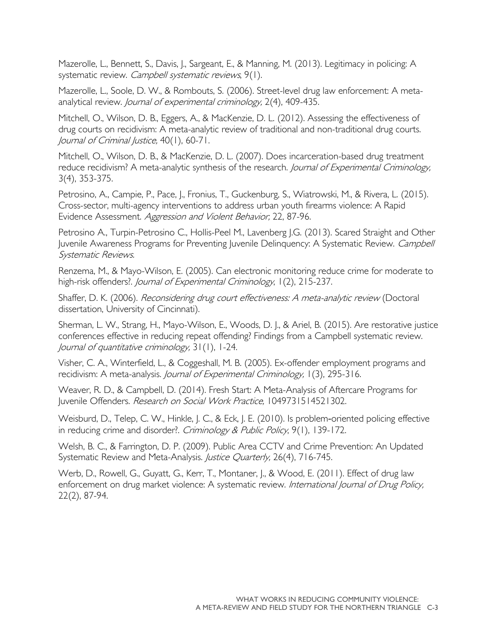Mazerolle, L., Bennett, S., Davis, J., Sargeant, E., & Manning, M. (2013). Legitimacy in policing: A systematic review. Campbell systematic reviews, 9(1).

Mazerolle, L., Soole, D. W., & Rombouts, S. (2006). Street-level drug law enforcement: A metaanalytical review. Journal of experimental criminology, 2(4), 409-435.

Mitchell, O., Wilson, D. B., Eggers, A., & MacKenzie, D. L. (2012). Assessing the effectiveness of drug courts on recidivism: A meta-analytic review of traditional and non-traditional drug courts. Journal of Criminal Justice, 40(1), 60-71.

Mitchell, O., Wilson, D. B., & MacKenzie, D. L. (2007). Does incarceration-based drug treatment reduce recidivism? A meta-analytic synthesis of the research. Journal of Experimental Criminology, 3(4), 353-375.

Petrosino, A., Campie, P., Pace, J., Fronius, T., Guckenburg, S., Wiatrowski, M., & Rivera, L. (2015). Cross-sector, multi-agency interventions to address urban youth firearms violence: A Rapid Evidence Assessment. Aggression and Violent Behavior, 22, 87-96.

Petrosino A., Turpin-Petrosino C., Hollis-Peel M., Lavenberg J.G. (2013). Scared Straight and Other Juvenile Awareness Programs for Preventing Juvenile Delinquency: A Systematic Review. Campbell Systematic Reviews.

Renzema, M., & Mayo-Wilson, E. (2005). Can electronic monitoring reduce crime for moderate to high-risk offenders?. Journal of Experimental Criminology, 1(2), 215-237.

Shaffer, D. K. (2006). Reconsidering drug court effectiveness: A meta-analytic review (Doctoral dissertation, University of Cincinnati).

Sherman, L. W., Strang, H., Mayo-Wilson, E., Woods, D. J., & Ariel, B. (2015). Are restorative justice conferences effective in reducing repeat offending? Findings from a Campbell systematic review. Journal of quantitative criminology, 31(1), 1-24.

Visher, C. A., Winterfield, L., & Coggeshall, M. B. (2005). Ex-offender employment programs and recidivism: A meta-analysis. Journal of Experimental Criminology, 1(3), 295-316.

Weaver, R. D., & Campbell, D. (2014). Fresh Start: A Meta-Analysis of Aftercare Programs for Juvenile Offenders. Research on Social Work Practice, 1049731514521302.

Weisburd, D., Telep, C. W., Hinkle, J. C., & Eck, J. E. (2010). Is problem-oriented policing effective in reducing crime and disorder?. Criminology & Public Policy, 9(1), 139-172.

Welsh, B. C., & Farrington, D. P. (2009). Public Area CCTV and Crime Prevention: An Updated Systematic Review and Meta-Analysis. Justice Quarterly, 26(4), 716-745.

Werb, D., Rowell, G., Guyatt, G., Kerr, T., Montaner, J., & Wood, E. (2011). Effect of drug law enforcement on drug market violence: A systematic review. International Journal of Drug Policy, 22(2), 87-94.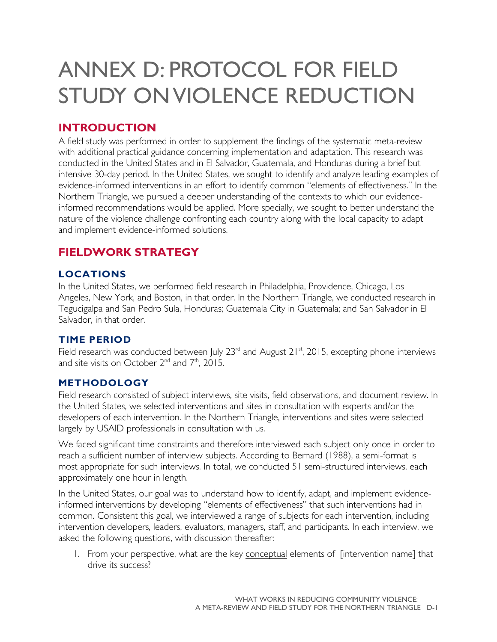## <span id="page-50-0"></span>ANNEX D: PROTOCOL FOR FIELD STUDY ON VIOLENCE REDUCTION

### **INTRODUCTION**

A field study was performed in order to supplement the findings of the systematic meta-review with additional practical guidance concerning implementation and adaptation. This research was conducted in the United States and in El Salvador, Guatemala, and Honduras during a brief but intensive 30-day period. In the United States, we sought to identify and analyze leading examples of evidence-informed interventions in an effort to identify common "elements of effectiveness." In the Northern Triangle, we pursued a deeper understanding of the contexts to which our evidenceinformed recommendations would be applied. More specially, we sought to better understand the nature of the violence challenge confronting each country along with the local capacity to adapt and implement evidence-informed solutions.

### **FIELDWORK STRATEGY**

#### **LOCATIONS**

In the United States, we performed field research in Philadelphia, Providence, Chicago, Los Angeles, New York, and Boston, in that order. In the Northern Triangle, we conducted research in Tegucigalpa and San Pedro Sula, Honduras; Guatemala City in Guatemala; and San Salvador in El Salvador, in that order.

#### **TIME PERIOD**

Field research was conducted between July  $23<sup>rd</sup>$  and August  $21<sup>st</sup>$ , 2015, excepting phone interviews and site visits on October  $2^{nd}$  and  $7^{th}$ ,  $2015$ .

#### **METHODOLOGY**

Field research consisted of subject interviews, site visits, field observations, and document review. In the United States, we selected interventions and sites in consultation with experts and/or the developers of each intervention. In the Northern Triangle, interventions and sites were selected largely by USAID professionals in consultation with us.

We faced significant time constraints and therefore interviewed each subject only once in order to reach a sufficient number of interview subjects. According to Bernard (1988), a semi-format is most appropriate for such interviews. In total, we conducted 51 semi-structured interviews, each approximately one hour in length.

In the United States, our goal was to understand how to identify, adapt, and implement evidenceinformed interventions by developing "elements of effectiveness" that such interventions had in common. Consistent this goal, we interviewed a range of subjects for each intervention, including intervention developers, leaders, evaluators, managers, staff, and participants. In each interview, we asked the following questions, with discussion thereafter:

1. From your perspective, what are the key conceptual elements of [intervention name] that drive its success?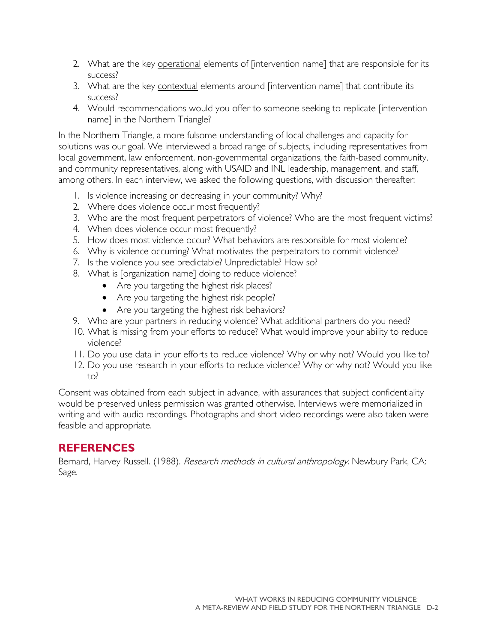- 2. What are the key operational elements of [intervention name] that are responsible for its success?
- 3. What are the key contextual elements around [intervention name] that contribute its success?
- 4. Would recommendations would you offer to someone seeking to replicate [intervention name] in the Northern Triangle?

In the Northern Triangle, a more fulsome understanding of local challenges and capacity for solutions was our goal. We interviewed a broad range of subjects, including representatives from local government, law enforcement, non-governmental organizations, the faith-based community, and community representatives, along with USAID and INL leadership, management, and staff, among others. In each interview, we asked the following questions, with discussion thereafter:

- 1. Is violence increasing or decreasing in your community? Why?
- 2. Where does violence occur most frequently?
- 3. Who are the most frequent perpetrators of violence? Who are the most frequent victims?
- 4. When does violence occur most frequently?
- 5. How does most violence occur? What behaviors are responsible for most violence?
- 6. Why is violence occurring? What motivates the perpetrators to commit violence?
- 7. Is the violence you see predictable? Unpredictable? How so?
- 8. What is [organization name] doing to reduce violence?
	- Are you targeting the highest risk places?
	- Are you targeting the highest risk people?
	- Are you targeting the highest risk behaviors?
- 9. Who are your partners in reducing violence? What additional partners do you need?
- 10. What is missing from your efforts to reduce? What would improve your ability to reduce violence?
- 11. Do you use data in your efforts to reduce violence? Why or why not? Would you like to?
- 12. Do you use research in your efforts to reduce violence? Why or why not? Would you like to?

Consent was obtained from each subject in advance, with assurances that subject confidentiality would be preserved unless permission was granted otherwise. Interviews were memorialized in writing and with audio recordings. Photographs and short video recordings were also taken were feasible and appropriate.

#### **REFERENCES**

Bernard, Harvey Russell. (1988). Research methods in cultural anthropology. Newbury Park, CA: Sage.